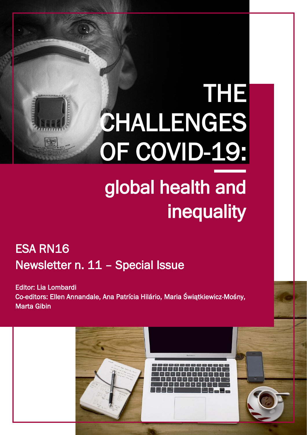# THE CHALLENGES OF COVID-19:

# global health and **inequality**

# ESA RN16 Newsletter n. 11 – Special Issue

Editor: Lia Lombardi Co-editors: Ellen Annandale, Ana Patrícia Hilário, Maria Świątkiewicz-Mośny, Marta Gibin

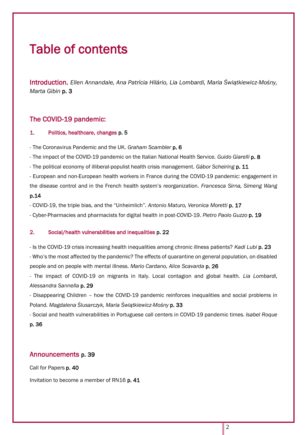# Table of contents

Introduction. *Ellen Annandale, Ana Patrícia Hilário, Lia Lombardi, Maria Świątkiewicz-Mośny, Marta Gibin* p. 3

# The COVID-19 pandemic:

# 1. Politics, healthcare, changes p. 5

- The Coronavirus Pandemic and the UK. *Graham Scambler* p. 6

- The impact of the COVID-19 pandemic on the Italian National Health Service. *Guido Giarelli* p. 8

- The political economy of illiberal-populist health crisis management. *Gábor Scheiring* p. 11

- European and non-European health workers in France during the COVID-19 pandemic: engagement in the disease control and in the French health system's reorganization. *Francesca Sirna, Simeng Wang* p.14

- COVID-19, the triple bias, and the "Unheimlich". *Antonio Maturo, Veronica Moretti* p. 17

- Cyber-Pharmacies and pharmacists for digital health in post-COVID-19. *Pietro Paolo Guzzo* p. 19

# 2. Social/health vulnerabilities and inequalities p. 22

- Is the COVID-19 crisis increasing health inequalities among chronic illness patients? *Kadi Lubi* p. 23 - Who's the most affected by the pandemic? The effects of quarantine on general population, on disabled people and on people with mental illness. *Mario Cardano, Alice Scavarda* p. 26

- The impact of COVID-19 on migrants in Italy. Local contagion and global health. *Lia Lombardi, Alessandra Sannella* p. 29

- Disappearing Children – how the COVID-19 pandemic reinforces inequalities and social problems in Poland. *Magdalena Ślusarczyk, Maria Świątkiewicz-Mośny* p. 33

- Social and health vulnerabilities in Portuguese call centers in COVID-19 pandemic times. *Isabel Roque* p. 36

# Announcements p. 39

Call for Papers p. 40

Invitation to become a member of RN16 p. 41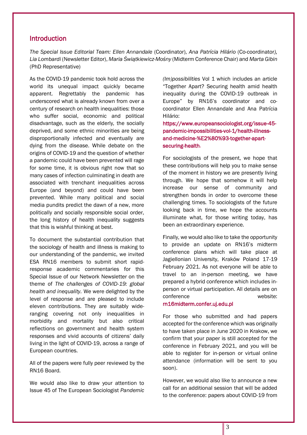# **Introduction**

*The Special Issue Editorial Team: Ellen Annandale* (Coordinator), *Ana Patrícia Hilário* (Co-coordinator*), Lia Lombardi* (Newsletter Editor), *Maria Świątkiewicz-Mośny* (Midterm Conference Chair) and *Marta Gibin* (PhD Representative)

As the COVID-19 pandemic took hold across the world its unequal impact quickly became apparent. Regrettably the pandemic has underscored what is already known from over a century of research on health inequalities: those who suffer social, economic and political disadvantage, such as the elderly, the socially deprived, and some ethnic minorities are being disproportionally infected and eventually are dying from the disease. While debate on the origins of COVID-19 and the question of whether a pandemic could have been prevented will rage for some time, it is obvious right now that so many cases of infection culminating in death are associated with trenchant inequalities across Europe (and beyond) and could have been prevented. While many political and social media pundits predict the dawn of a new, more politically and socially responsible social order, the long history of health inequality suggests that this is wishful thinking at best.

To document the substantial contribution that the sociology of health and illness is making to our understanding of the pandemic, we invited ESA RN16 members to submit short rapidresponse academic commentaries for this Special Issue of our Network Newsletter on the theme of *The challenges of COVID-19: global health and inequality.* We were delighted by the level of response and are pleased to include eleven contributions. They are suitably wideranging covering not only inequalities in morbidity and mortality but also critical reflections on government and health system responses and vivid accounts of citizens' daily living in the light of COVID-19, across a range of European countries.

All of the papers were fully peer reviewed by the RN16 Board.

We would also like to draw your attention to Issue 45 of The European Sociologist *Pandemic*  *(Im)possibilities* Vol 1 which includes an article "Together Apart? Securing health amid health inequality during the COVID-19 outbreak in Europe" by RN16's coordinator and cocoordinator Ellen Annandale and Ana Patrícia Hilário:

https://www.europeansociologist.org/issue-45 pandemic-impossibilities-vol-1/health-illnessand-medicine-%E2%80%93-together-apartsecuring-health.

For sociologists of the present, we hope that these contributions will help you to make sense of the moment in history we are presently living through. We hope that somehow it will help increase our sense of community and strengthen bonds in order to overcome these challenging times. To sociologists of the future looking back in time, we hope the accounts illuminate what, for those writing today, has been an extraordinary experience.

Finally, we would also like to take the opportunity to provide an update on RN16's midterm conference plans which will take place at Jagiellonian University, Kraków Poland 17-19 February 2021. As not everyone will be able to travel to an in-person meeting, we have prepared a hybrid conference which includes inperson or virtual participation. All details are on conference website:

# rn16midterm.confer.uj.edu.pl

For those who submitted and had papers accepted for the conference which was originally to have taken place in June 2020 in Krakow, we confirm that your paper is still accepted for the conference in February 2021, and you will be able to register for in-person or virtual online attendance (information will be sent to you soon).

However, we would also like to announce a new call for an additional session that will be added to the conference: papers about COVID-19 from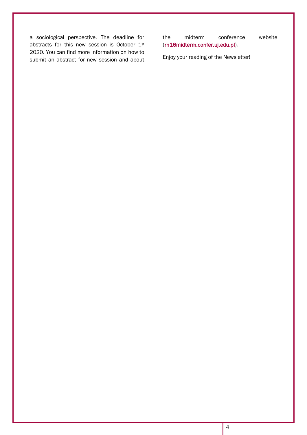a sociological perspective. The deadline for abstracts for this new session is October 1st 2020. You can find more information on how to submit an abstract for new session and about

the midterm conference website [\(rn16midterm.confer.uj.edu.pl\)](http://rn16midterm.confer.uj.edu.pl/).

Enjoy your reading of the Newsletter!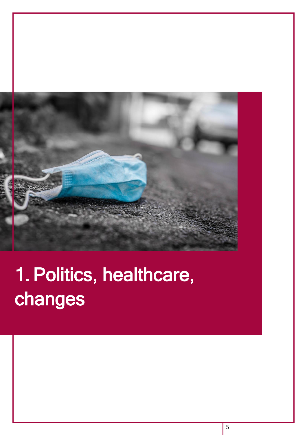

# 1. Politics, healthcare, changes

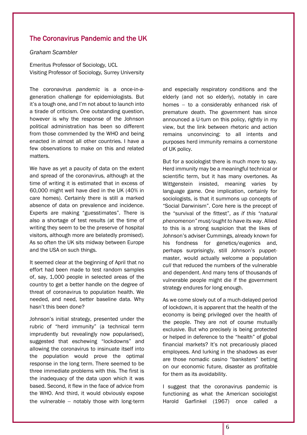# The Coronavirus Pandemic and the UK

*Graham Scambler*

Emeritus Professor of Sociology, UCL Visiting Professor of Sociology, Surrey University

The *coronavirus pandemic* is a once-in-ageneration challenge for epidemiologists. But it's a tough one, and I'm not about to launch into a tirade of criticism. One outstanding question, however is why the response of the Johnson political administration has been so different from those commended by the WHO and being enacted in almost all other countries. I have a few observations to make on this and related matters.

We have as yet a paucity of data on the extent and spread of the coronavirus, although at the time of writing it is estimated that in excess of 60,000 might well have died in the UK (40% in care homes). Certainly there is still a marked absence of data on prevalence and incidence. Experts are making "guesstimates". There is also a shortage of test results (at the time of writing they seem to be the preserve of hospital visitors, although more are belatedly promised). As so often the UK sits midway between Europe and the USA on such things.

It seemed clear at the beginning of April that no effort had been made to test random samples of, say, 1,000 people in selected areas of the country to get a better handle on the degree of threat of coronavirus to population health. We needed, and need, better baseline data. Why hasn't this been done?

Johnson's initial strategy, presented under the rubric of "herd immunity" (a technical term imprudently but revealingly now popularised), suggested that eschewing "lockdowns" and allowing the coronavirus to insinuate itself into the population would prove the optimal response in the long term. There seemed to be three immediate problems with this. The first is the inadequacy of the data upon which it was based. Second, it flew in the face of advice from the WHO. And third, it would obviously expose the vulnerable − notably those with long-term and especially respiratory conditions and the elderly (and not so elderly), notably in care homes − to a considerably enhanced risk of premature death. The government has since announced a U-turn on this policy, rightly in my view, but the link between rhetoric and action remains unconvincing: to all intents and purposes herd immunity remains a cornerstone of UK policy.

But for a sociologist there is much more to say. Herd immunity may be a meaningful technical or scientific term, but it has many overtones. As Wittgenstein insisted, meaning varies by language game. One implication, certainly for sociologists, is that it summons up concepts of "Social Darwinism". Core here is the precept of the "survival of the fittest", *as if this "natural phenomenon" must/ought to have its way*. Allied to this is a strong suspicion that the likes of Johnson's adviser Cummings, already known for his fondness for genetics/eugenics and, perhaps surprisingly, still Johnson's puppetmaster, would actually welcome a population *cull* that reduced the numbers of the vulnerable and dependent. And many tens of thousands of vulnerable people might die if the government strategy endures for long enough.

As we come slowly out of a much-delayed period of lockdown, it is apparent that the health of the economy is being privileged over the health of the people. They are not of course mutually exclusive. But who precisely is being protected or helped in deference to the "health" of global financial markets? It's not precariously placed employees. And lurking in the shadows as ever are those nomadic casino "banksters" betting on our economic future, disaster as profitable for them as its avoidability.

I suggest that the coronavirus pandemic is functioning as what the American sociologist Harold Garfinkel (1967) once called a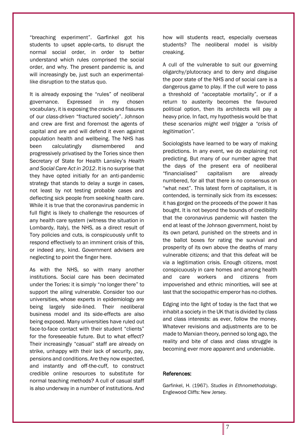"breaching experiment". Garfinkel got his students to upset apple-carts, to disrupt the normal social order, in order to better understand which rules comprised the social order, and why. The present pandemic is, and will increasingly be, just such an experimentallike disruption to the status quo.

It is already exposing the "rules" of neoliberal governance. Expressed in my chosen vocabulary, it is exposing the cracks and fissures of our *class-driven* "fractured society". Johnson and crew are first and foremost the agents of capital and are and will defend it even against population health and wellbeing. The NHS has been calculatingly dismembered and progressively privatised by the Tories since then Secretary of State for Health Lansley's *Health and Social Care Act in 2012*. It is no surprise that they have opted initially for an anti-pandemic strategy that stands to delay a surge in cases, not least by not testing probable cases and deflecting sick people from seeking health care. While it is true that the coronavirus pandemic in full flight is likely to challenge the resources of any health care system (witness the situation in Lombardy, Italy), the NHS, as a direct result of Tory policies and cuts, is conspicuously unfit to respond effectively to an imminent crisis of this, or indeed any, kind. Government advisers are neglecting to point the finger here.

As with the NHS, so with many another institutions. Social care has been decimated under the Tories: it is simply "no longer there" to support the ailing vulnerable. Consider too our universities, whose experts in epidemiology are being largely side-lined. Their neoliberal business model and its side-effects are also being exposed. Many universities have ruled out face-to-face contact with their student "clients" for the foreseeable future. But to what effect? Their increasingly "casual" staff are already on strike, unhappy with their lack of security, pay, pensions and conditions. Are they now expected, and instantly and off-the-cuff, to construct credible online resources to substitute for normal teaching methods? A cull of casual staff is also underway in a number of institutions. And how will students react, especially overseas students? The neoliberal model is visibly creaking.

A cull of the vulnerable to suit our governing oligarchy/plutocracy and to deny and disguise the poor state of the NHS and of social care is a dangerous game to play. If the cull were to pass a threshold of "acceptable mortality", or if a return to austerity becomes the favoured political option, then its architects will pay a heavy price. In fact, my hypothesis would be that *these scenarios might well trigger a "crisis of legitimation".* 

Sociologists have learned to be wary of making predictions. In any event, we do explaining not predicting. But many of our number agree that the days of the present era of neoliberal "financialised" capitalism are already numbered, for all that there is no consensus on "what next". This latest form of capitalism, it is contended, is terminally sick from its excesses: it has gorged on the proceeds of the power it has bought. It is not beyond the bounds of credibility that the coronavirus pandemic will hasten the end at least of the Johnson government, hoist by its own petard, punished on the streets and in the ballot boxes for rating the survival and prosperity of its own above the deaths of many vulnerable citizens; and that this defeat will be via a legitimation crisis. Enough citizens, most conspicuously in care homes and among health and care workers and citizens from impoverished and ethnic minorities, will see at last that the sociopathic emperor has no clothes.

Edging into the light of today is the fact that we inhabit a society in the UK that is divided by class and class interests: as ever, follow the money. Whatever revisions and adjustments are to be made to Marxian theory, penned so long ago, the reality and bite of class and class struggle is becoming ever more apparent and undeniable.

### References:

Garfinkel, H. (1967). *Studies in Ethnomethodology*. Englewood Cliffs: New Jersey.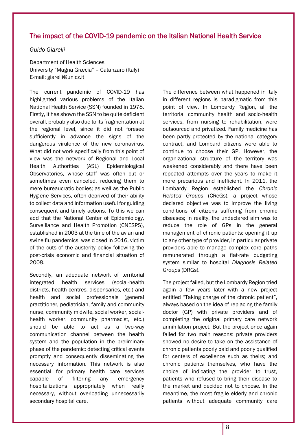# The impact of the COVID-19 pandemic on the Italian National Health Service

*Guido Giarelli*

Department of Health Sciences University "Magna Græcia" – Catanzaro (Italy) E-mail: giarelli@unicz.it

The current pandemic of COVID-19 has highlighted various problems of the Italian National Health Service (SSN) founded in 1978. Firstly, it has shown the SSN to be quite deficient overall, probably also due to its fragmentation at the regional level, since it did not foresee sufficiently in advance the signs of the dangerous virulence of the new coronavirus. What did not work specifically from this point of view was the network of Regional and Local Health Authorities (ASL) Epidemiological Observatories, whose staff was often cut or sometimes even canceled, reducing them to mere bureaucratic bodies; as well as the Public Hygiene Services, often deprived of their ability to collect data and information useful for guiding consequent and timely actions. To this we can add that the National Center of Epidemiology, Surveillance and Health Promotion (CNESPS), established in 2003 at the time of the avian and swine flu pandemics, was closed in 2016, victim of the cuts of the austerity policy following the post-crisis economic and financial situation of 2008.

Secondly, an adequate network of territorial integrated health services (social-health districts, health centres, dispensaries, etc.) and health and social professionals (general practitioner, pediatrician, family and community nurse, community midwife, social worker, socialhealth worker, community pharmacist, etc.) should be able to act as a two-way communication channel between the health system and the population in the preliminary phase of the pandemic: detecting critical events promptly and consequently disseminating the necessary information. This network is also essential for primary health care services capable of filtering any emergency hospitalizations appropriately when really necessary, without overloading unnecessarily secondary hospital care.

The difference between what happened in Italy in different regions is paradigmatic from this point of view. In Lombardy Region, all the territorial community health and socio-health services, from nursing to rehabilitation, were outsourced and privatized. Family medicine has been partly protected by the national category contract, and Lombard citizens were able to continue to choose their GP. However, the organizational structure of the territory was weakened considerably and there have been repeated attempts over the years to make it more precarious and inefficient. In 2011, the Lombardy Region established the *Chronic Related Groups* (CReGs), a project whose declared objective was to improve the living conditions of citizens suffering from chronic diseases; in reality, the undeclared aim was to reduce the role of GPs in the general management of chronic patients: opening it up to any other type of provider, in particular private providers able to manage complex care paths remunerated through a flat-rate budgeting system similar to hospital *Diagnosis Related Groups* (DRGs).

The project failed, but the Lombardy Region tried again a few years later with a new project entitled "Taking charge of the chronic patient", always based on the idea of replacing the family doctor (GP) with private providers and of completing the original primary care network annihilation project. But the project once again failed for two main reasons: private providers showed no desire to take on the assistance of chronic patients poorly paid and poorly qualified for centers of excellence such as theirs; and chronic patients themselves, who have the choice of indicating the provider to trust, patients who refused to bring their disease to the market and decided not to choose. In the meantime, the most fragile elderly and chronic patients without adequate community care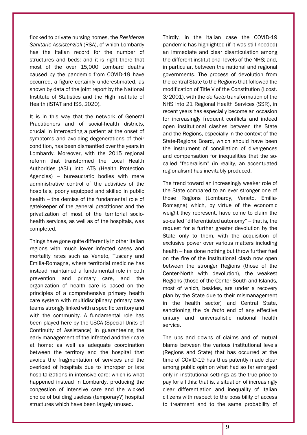flocked to private nursing homes, the *Residenze Sanitarie Assistenziali* (RSA), of which Lombardy has the Italian record for the number of structures and beds: and it is right there that most of the over 15,000 Lombard deaths caused by the pandemic from COVID-19 have occurred, a figure certainly underestimated, as shown by data of the joint report by the National Institute of Statistics and the High Institute of Health (ISTAT and ISS, 2020).

It is in this way that the network of General Practitioners and of social-health districts, crucial in intercepting a patient at the onset of symptoms and avoiding degenerations of their condition, has been dismantled over the years in Lombardy. Moreover, with the 2015 regional reform that transformed the Local Health Authorities (ASL) into ATS (Health Protection Agencies) – bureaucratic bodies with mere administrative control of the activities of the hospitals, poorly equipped and skilled in public health – the demise of the fundamental role of gatekeeper of the general practitioner and the privatization of most of the territorial sociohealth services, as well as of the hospitals, was completed.

Things have gone quite differently in other Italian regions with much lower infected cases and mortality rates such as Veneto, Tuscany and Emilia-Romagna, where territorial medicine has instead maintained a fundamental role in both prevention and primary care, and the organization of health care is based on the principles of a comprehensive primary health care system with multidisciplinary primary care teams strongly linked with a specific territory and with the community. A fundamental role has been played here by the USCA (Special Units of Continuity of Assistance) in guaranteeing the early management of the infected and their care at home; as well as adequate coordination between the territory and the hospital that avoids the fragmentation of services and the overload of hospitals due to improper or late hospitalizations in intensive care; which is what happened instead in Lombardy, producing the congestion of intensive care and the wicked choice of building useless (temporary?) hospital structures which have been largely unused.

Thirdly, in the Italian case the COVID-19 pandemic has highlighted (if it was still needed) an immediate and clear disarticulation among the different institutional levels of the NHS; and, in particular, between the national and regional governments. The process of devolution from the central State to the Regions that followed the modification of Title V of the Constitution (l.cost. 3/2001), with the *de facto* transformation of the NHS into 21 Regional Health Services (SSR), in recent years has especially become an occasion for increasingly frequent conflicts and indeed open institutional clashes between the State and the Regions, especially in the context of the State-Regions Board, which should have been the instrument of conciliation of divergences and compensation for inequalities that the socalled "federalism" (in reality, an accentuated regionalism) has inevitably produced.

The trend toward an increasingly weaker role of the State compared to an ever stronger one of those Regions (Lombardy, Veneto, Emilia-Romagna) which, by virtue of the economic weight they represent, have come to claim the so-called "differentiated autonomy" – that is, the request for a further greater devolution by the State only to them, with the acquisition of exclusive power over various matters including health – has done nothing but throw further fuel on the fire of the institutional clash now open between the stronger Regions (those of the Center-North with devolution), the weakest Regions (those of the Center-South and Islands, most of which, besides, are under a recovery plan by the State due to their mismanagement in the health sector) and Central State, sanctioning the *de facto* end of any effective unitary and universalistic national health service.

The ups and downs of claims and of mutual blame between the various institutional levels (Regions and State) that has occurred at the time of COVID-19 has thus patently made clear among public opinion what had so far emerged only in institutional settings as the true price to pay for all this: that is, a situation of increasingly clear differentiation and inequality of Italian citizens with respect to the possibility of access to treatment and to the same probability of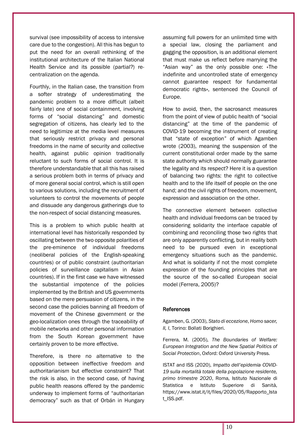survival (see impossibility of access to intensive care due to the congestion). All this has begun to put the need for an overall rethinking of the institutional architecture of the Italian National Health Service and its possible (partial?) recentralization on the agenda.

Fourthly, in the Italian case, the transition from a softer strategy of underestimating the pandemic problem to a more difficult (albeit fairly late) one of social containment, involving forms of "social distancing" and domestic segregation of citizens, has clearly led to the need to legitimize at the media level measures that seriously restrict privacy and personal freedoms in the name of security and collective health, against public opinion traditionally reluctant to such forms of social control. It is therefore understandable that all this has raised a serious problem both in terms of privacy and of more general social control, which is still open to various solutions, including the recruitment of volunteers to control the movements of people and dissuade any dangerous gatherings due to the non-respect of social distancing measures.

This is a problem to which public health at international level has historically responded by oscillating between the two opposite polarities of the pre-eminence of individual freedoms (neoliberal policies of the English-speaking countries) or of public constraint (authoritarian policies of surveillance capitalism in Asian countries). If in the first case we have witnessed the substantial impotence of the policies implemented by the British and US governments based on the mere persuasion of citizens, in the second case the policies banning all freedom of movement of the Chinese government or the geo-localization ones through the traceability of mobile networks and other personal information from the South Korean government have certainly proven to be more effective.

Therefore, is there no alternative to the opposition between ineffective freedom and authoritarianism but effective constraint? That the risk is also, in the second case, of having public health reasons offered by the pandemic underway to implement forms of "authoritarian democracy" such as that of Orbán in Hungary assuming full powers for an unlimited time with a special law, closing the parliament and gagging the opposition, is an additional element that must make us reflect before marrying the "Asian way" as the only possible one: «The indefinite and uncontrolled state of emergency cannot guarantee respect for fundamental democratic rights», sentenced the Council of Europe.

How to avoid, then, the sacrosanct measures from the point of view of public health of "social distancing" at the time of the pandemic of COVID-19 becoming the instrument of creating that "state of exception" of which Agamben wrote (2003), meaning the suspension of the current constitutional order made by the same state authority which should normally guarantee the legality and its respect? Here it is a question of balancing two rights: the right to collective health and to the life itself of people on the one hand; and the civil rights of freedom, movement, expression and association on the other.

The connective element between collective health and individual freedoms can be traced by considering solidarity the interface capable of combining and reconciling those two rights that are only apparently conflicting, but in reality both need to be pursued even in exceptional emergency situations such as the pandemic. And what is solidarity if not the most complete expression of the founding principles that are the source of the so-called European social model (Ferrera, 2005)?

### **References**

Agamben, G. (2003), *Stato di eccezione*, *Homo sacer, II, I*, Torino: Bollati Borighieri.

Ferrera, M. (2005), *The Boundaries of Welfare: European Integration and the New Spatial Politics of Social Protection*, Oxford: Oxford University Press.

ISTAT and ISS (2020), *Impatto dell'epidemia COVID-19 sulla mortalità totale della popolazione residente, primo trimestre 2020*, Roma, Istituto Nazionale di Statistica e Istituto Superiore di Sanità, [https://www.istat.it/it/files/2020/05/Rapporto\\_Ista](https://www.istat.it/it/files/2020/05/Rapporto_Istat_ISS.pdf) [t\\_ISS.pdf.](https://www.istat.it/it/files/2020/05/Rapporto_Istat_ISS.pdf)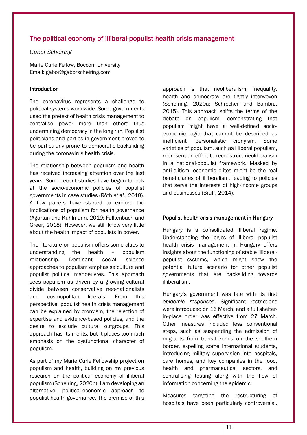# The political economy of illiberal-populist health crisis management

# *Gábor Scheiring*

Marie Curie Fellow, Bocconi University Email: gabor@gaborscheiring.com

### Introduction

The coronavirus represents a challenge to political systems worldwide. Some governments used the pretext of health crisis management to centralise power more than others thus undermining democracy in the long run. Populist politicians and parties in government proved to be particularly prone to democratic backsliding during the coronavirus health crisis.

The relationship between populism and health has received increasing attention over the last years. Some recent studies have begun to look at the socio-economic policies of populist governments in case studies (Röth *et al.*, 2018). A few papers have started to explore the implications of populism for health governance (Agartan and Kuhlmann, 2019; Falkenbach and Greer, 2018). However, we still know very little about the health impact of populists in power.

The literature on populism offers some clues to understanding the health – populism relationship. Dominant social science approaches to populism emphasise culture and populist political manoeuvres. This approach sees populism as driven by a growing cultural divide between conservative neo-nationalists and cosmopolitan liberals. From this perspective, populist health crisis management can be explained by cronyism, the rejection of expertise and evidence-based policies, and the desire to exclude cultural outgroups. This approach has its merits, but it places too much emphasis on the dysfunctional character of populism.

As part of my Marie Curie Fellowship project on populism and health, building on my previous research on the political economy of illiberal populism (Scheiring, 2020b), I am developing an alternative, political-economic approach to populist health governance. The premise of this approach is that neoliberalism, inequality, health and democracy are tightly interwoven (Scheiring, 2020a; Schrecker and Bambra, 2015). This approach shifts the terms of the debate on populism, demonstrating that populism might have a well-defined socioeconomic logic that cannot be described as inefficient, personalistic cronyism. Some varieties of populism, such as illiberal populism, represent an effort to reconstruct neoliberalism in a national-populist framework. Masked by anti-elitism, economic elites might be the real beneficiaries of illiberalism, leading to policies that serve the interests of high-income groups and businesses (Bruff, 2014).

### Populist health crisis management in Hungary

Hungary is a consolidated illiberal regime. Understanding the logics of illiberal populist health crisis management in Hungary offers insights about the functioning of stable illiberalpopulist systems, which might show the potential future scenario for other populist governments that are backsliding towards illiberalism.

Hungary's government was late with its first *epidemic responses*. Significant restrictions were introduced on 16 March, and a full shelterin-place order was effective from 27 March. Other measures included less conventional steps, such as suspending the admission of migrants from transit zones on the southern border, expelling some international students, introducing military supervision into hospitals, care homes, and key companies in the food, health and pharmaceutical sectors, and centralising testing along with the flow of information concerning the epidemic.

Measures targeting the restructuring of hospitals have been particularly controversial.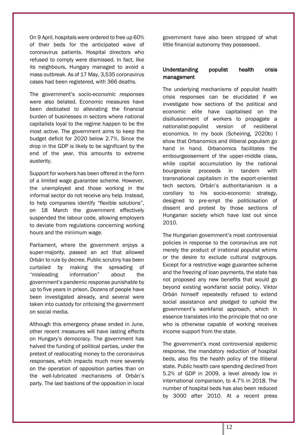On 9 April, hospitals were ordered to free up 60% of their beds for the anticipated wave of coronavirus patients. Hospital directors who refused to comply were dismissed. In fact, like its neighbours, Hungary managed to avoid a mass outbreak. As of 17 May, 3,535 coronavirus cases had been registered, with 366 deaths.

The government's *socio-economic responses* were also belated. Economic measures have been dedicated to alleviating the financial burden of businesses in sectors where national capitalists loyal to the regime happen to be the most active. The government aims to keep the budget deficit for 2020 below 2.7%. Since the drop in the GDP is likely to be significant by the end of the year, this amounts to extreme austerity.

Support for workers has been offered in the form of a limited wage guarantee scheme. However, the unemployed and those working in the informal sector do not receive any help. Instead, to help companies identify "flexible solutions", on 18 March the government effectively suspended the labour code, allowing employers to deviate from regulations concerning working hours and the minimum wage.

Parliament, where the government enjoys a super-majority, passed an act that allowed Orbán to rule by decree. Public scrutiny has been curtailed by making the spreading of "misleading information" about the government's pandemic response punishable by up to five years in prison. Dozens of people have been investigated already, and several were taken into custody for criticising the government on social media.

Although this emergency phase ended in June, other recent measures will have lasting effects on Hungary's democracy. The government has halved the funding of political parties, under the pretext of reallocating money to the coronavirus responses, which impacts much more severely on the operation of opposition parties than on the well-lubricated mechanisms of Orbán's party. The last bastions of the opposition in local government have also been stripped of what little financial autonomy they possessed.

# Understanding populist health crisis management

The underlying mechanisms of populist health crisis responses can be elucidated if we investigate how sections of the political and economic elite have capitalised on the disillusionment of workers to propagate a nationalist-populist version of neoliberal economics. In my book (Scheiring, 2020b) I show that Orbanomics and illiberal populism go hand in hand. Orbanomics facilitates the embourgeoisement of the upper-middle class, while capital accumulation by the national bourgeoisie proceeds in tandem with transnational capitalism in the export-oriented tech sectors. Orbán's authoritarianism is a corollary to his socio-economic strategy, designed to pre-empt the politicisation of dissent and protest by those sections of Hungarian society which have lost out since 2010.

The Hungarian government's most controversial policies in response to the coronavirus are not merely the product of irrational populist whims or the desire to exclude cultural outgroups. Except for a restrictive wage guarantee scheme and the freezing of loan payments, the state has not proposed any new benefits that would go beyond existing workfarist social policy. Viktor Orbán himself repeatedly refused to extend social assistance and pledged to uphold the government's workfarist approach, which in essence translates into the principle that no one who is otherwise capable of working receives income support from the state.

The government's most controversial epidemic response, the mandatory reduction of hospital beds, also fits the health policy of the illiberal state. Public health care spending declined from 5.2% of GDP in 2009, a level already low in international comparison, to 4.7% in 2018. The number of hospital beds has also been reduced by 3000 after 2010. At a recent press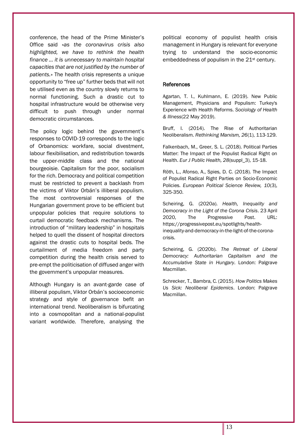conference, the head of the Prime Minister's Office said «*as the coronavirus crisis also highlighted, we have to rethink the health finance … it is unnecessary to maintain hospital capacities that are not justified by the number of patients.*» The health crisis represents a unique opportunity to "free up" further beds that will not be utilised even as the country slowly returns to normal functioning. Such a drastic cut to hospital infrastructure would be otherwise very difficult to push through under normal democratic circumstances.

The policy logic behind the government's responses to COVID-19 corresponds to the logic of Orbanomics: workfare, social divestment, labour flexibilisation, and redistribution towards the upper-middle class and the national bourgeoisie. Capitalism for the poor, socialism for the rich. Democracy and political competition must be restricted to prevent a backlash from the victims of Viktor Orbán's illiberal populism. The most controversial responses of the Hungarian government prove to be efficient but unpopular policies that require solutions to curtail democratic feedback mechanisms. The introduction of "military leadership" in hospitals helped to quell the dissent of hospital directors against the drastic cuts to hospital beds. The curtailment of media freedom and party competition during the health crisis served to pre-empt the politicisation of diffused anger with the government's unpopular measures.

Although Hungary is an avant-garde case of illiberal populism, Viktor Orbán's socioeconomic strategy and style of governance befit an international trend. Neoliberalism is bifurcating into a cosmopolitan and a national-populist variant worldwide. Therefore, analysing the

political economy of populist health crisis management in Hungary is relevant for everyone trying to understand the socio-economic embeddedness of populism in the 21<sup>st</sup> century.

#### References

Agartan, T. I., Kuhlmann, E. (2019). New Public Management, Physicians and Populism: Turkey's Experience with Health Reforms. *Sociology of Health & Illness*(22 May 2019).

Bruff, I. (2014). The Rise of Authoritarian Neoliberalism. *Rethinking Marxism, 26*(1), 113-129.

Falkenbach, M., Greer, S. L. (2018). Political Parties Matter: The Impact of the Populist Radical Right on Health. *Eur J Public Health, 28*(suppl\_3), 15-18.

Röth, L., Afonso, A., Spies, D. C. (2018). The Impact of Populist Radical Right Parties on Socio-Economic Policies. *European Political Science Review, 10*(3), 325-350.

Scheiring, G. (2020a). *Health, Inequality and Democracy in the Light of the Corona Crisis*. 23 April 2020, The Progressive Post. URL: [https://progressivepost.eu/spotlights/health](https://progressivepost.eu/spotlights/health-inequality-and-democracy-in-the-light-of-the-corona-crisis)[inequality-and-democracy-in-the-light-of-the-corona](https://progressivepost.eu/spotlights/health-inequality-and-democracy-in-the-light-of-the-corona-crisis)[crisis.](https://progressivepost.eu/spotlights/health-inequality-and-democracy-in-the-light-of-the-corona-crisis)

Scheiring, G. (2020b). *The Retreat of Liberal Democracy: Authoritarian Capitalism and the Accumulative State in Hungary*. London: Palgrave Macmillan.

Schrecker, T., Bambra, C. (2015). *How Politics Makes Us Sick: Neoliberal Epidemics*. London: Palgrave Macmillan.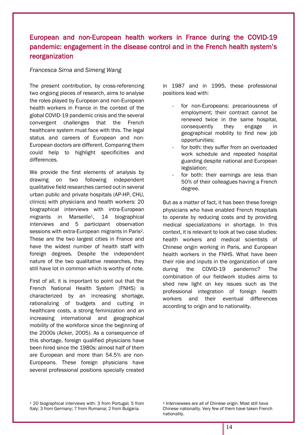# European and non-European health workers in France during the COVID-19 pandemic: engagement in the disease control and in the French health system's reorganization

# *Francesca Sirna* and *Simeng Wang*

The present contribution, by cross-referencing two ongoing pieces of research, aims to analyse the roles played by European and non-European health workers in France in the context of the global COVID-19 pandemic crisis and the several convergent challenges that the French healthcare system must face with this. The legal status and careers of European and non-European doctors are different. Comparing them could help to highlight specificities and differences.

We provide the first elements of analysis by drawing on two following independent qualitative field researches carried out in several urban public and private hospitals (AP-HP, CHU, clinics) with physicians and health workers: 20 biographical interviews with intra-European migrants in Marseille1, 14 biographical interviews and 5 participant observation sessions with extra-European migrants in Paris2. These are the two largest cities in France and have the widest number of health staff with foreign degrees. Despite the independent nature of the two qualitative researches, they still have lot in common which is worthy of note.

First of all, it is important to point out that the French National Health System (FNHS) is characterized by an increasing shortage, rationalizing of budgets and cutting in healthcare costs, a strong feminization and an increasing international and geographical mobility of the workforce since the beginning of the 2000s (Acker, 2005). As a consequence of this shortage, foreign qualified physicians have been hired since the 1980s: almost half of them are European and more than 54.5% are non-Europeans. These foreign physicians have several professional positions specially created

in 1987 and in 1995, these professional positions lead with:

- for non-Europeans: precariousness of employment; their contract cannot be renewed twice in the same hospital, consequently they engage in geographical mobility to find new job opportunities;
- for both: they suffer from an overloaded work schedule and repeated hospital guarding despite national and European legislation;
- for both: their earnings are less than 50% of their colleagues having a French degree.

But as a matter of fact, it has been these foreign physicians who have enabled French Hospitals to operate by reducing costs and by providing medical specializations in shortage. In this context, it is relevant to look at two case studies: health workers and medical scientists of Chinese origin working in Paris, and European health workers in the FNHS. What have been their role and inputs in the organization of care during the COVID-19 pandemic? The combination of our fieldwork studies aims to shed new light on key issues such as the professional integration of foreign health workers and their eventual differences according to origin and to nationality.

<sup>1</sup> 20 biographical interviews with: 3 from Portugal; 5 from Italy; 3 from Germany; 7 from Rumania; 2 from Bulgaria.

<sup>2</sup> Interviewees are all of Chinese origin. Most still have Chinese nationality. Very few of them have taken French nationality.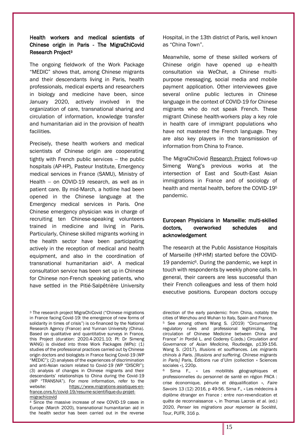# Health workers and medical scientists of Chinese origin in Paris - The MigraChiCovid Research Project<sup>3</sup>

The ongoing fieldwork of the Work Package "MEDIC" shows that, among Chinese migrants and their descendants living in Paris, health professionals, medical experts and researchers in biology and medicine have been, since January 2020, actively involved in the organization of care, transnational sharing and circulation of information, knowledge transfer and humanitarian aid in the provision of health facilities.

Precisely, these health workers and medical scientists of Chinese origin are cooperating tightly with French public services – the public hospitals (AP-HP), Pasteur Institute, Emergency medical services in France (SAMU), Ministry of Health – on COVID-19 research, as well as in patient care. By mid-March, a hotline had been opened in the Chinese language at the Emergency medical services in Paris. One Chinese emergency physician was in charge of recruiting ten Chinese-speaking volunteers trained in medicine and living in Paris. Particularly, Chinese skilled migrants working in the health sector have been participating actively in the reception of medical and health equipment, and also in the coordination of transnational humanitarian aid4. A medical consultation service has been set up in Chinese for Chinese non-French speaking patients, who have settled in the Pitié-Salpêtrière University

<sup>3</sup> The research project MigraChiCovid ("Chinese migrations in France facing Covid-19: the emergence of new forms of solidarity in times of crisis") is co-financed by the National Research Agency (France) and Yunnan University (China). Based on qualitative and quantitative surveys in France, this Project (duration: 2020.4-2021.10; PI: Dr Simeng WANG) is divided into three Work Packages (WPs): (1) studies of the professional practices carried out by Chinese origin doctors and biologists in France facing Covid-19 (WP "MEDIC"); (2) analyses of the experiences of discrimination and anti-Asian racism related to Covid-19 (WP "DISCRI"); (3) analysis of changes in Chinese migrants and their descendants' relationships to China during the Covid-19 (WP "TRANSNA"). For more information, refer to the website: [https://www.migrations-asiatiques-en](https://www.migrations-asiatiques-en-france.cnrs.fr/covid-19/resume-scientifique-du-projet-migrachicovid)[france.cnrs.fr/covid-19/resume-scientifique-du-projet](https://www.migrations-asiatiques-en-france.cnrs.fr/covid-19/resume-scientifique-du-projet-migrachicovid)[migrachicovid](https://www.migrations-asiatiques-en-france.cnrs.fr/covid-19/resume-scientifique-du-projet-migrachicovid)

<sup>4</sup> Since the massive increase of new COVID-19 cases in Europe (March 2020), transnational humanitarian aid in the health sector has been carried out in the reverse

Hospital, in the 13th district of Paris, well known as "China Town".

Meanwhile, some of these skilled workers of Chinese origin have opened up e-health consultation via WeChat, a Chinese multipurpose messaging, social media and mobile payment application. Other interviewees gave several online public lectures in Chinese language in the context of COVID-19 for Chinese migrants who do not speak French. These migrant Chinese health-workers play a key role in health care of immigrant populations who have not mastered the French language. They are also key players in the transmission of information from China to France.

The MigraChiCovid [Research Project](https://www.migrations-asiatiques-en-france.cnrs.fr/covid-19/resume-scientifique-du-projet-migrachicovid) follows-up Simeng Wang's previous works at the intersection of East and South-East Asian immigrations in France and of sociology of health and mental health, before the COVID-19<sup>5</sup> pandemic.

# European Physicians in Marseille: multi-skilled doctors, overworked schedules and acknowledgement

The research at the Public Assistance Hospitals of Marseille (HP-HM) started before the COVID-19 pandemic6. During the pandemic, we kept in touch with respondents by weekly phone calls. In general, their careers are less successful than their French colleagues and less of them hold executive positions. European doctors occupy

direction of the early pandemic: from China, notably the cities of Wenzhou and Wuhan to Italy, Spain and France.

<sup>5</sup> See among others Wang S. (2019) "Circumventing regulatory rules and professional legitimizing. The circulation of Chinese Medicine between China and France" *in* Pordié L. and Coderey C.(eds.) *Circulation and Governance of Asian Medicine,* Routledge, p139-156. Wang S. (2017), *Illusions et souffrances. Les migrants chinois à Paris. [Illusions and suffering. Chinese migrants in Paris]* Paris, Éditions rue d'Ulm (collection « Sciences sociales »), 220p.

<sup>&</sup>lt;sup>6</sup> Sirna F., « Les mobilités géographiques et professionnelles du personnel de santé en région PACA : crise économique, pénurie et déqualification », *Faire Savoirs* 13 (12) 2016, p 49-56. Sirna F., « Les médecins à diplôme étranger en France : entre non-revendication et quête de reconnaissance », in Thomas Lacroix *et al.* (ed.) 2020, *Penser les migrations pour repenser la Société*, Tour, PUFR, 316 p.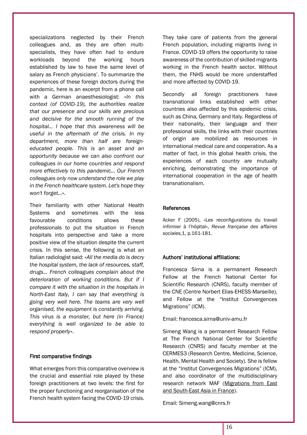specializations neglected by their French colleagues and, as they are often multispecialists, they have often had to endure workloads beyond the working hours established by law to have the same level of salary as French physicians'. To summarize the experiences of these foreign doctors during the pandemic, here is an excerpt from a phone call with a German anaesthesiologist: «*In this context (of COVID-19), the authorities realize that our presence and our skills are precious and decisive for the smooth running of the hospital… I hope that this awareness will be useful in the aftermath of the crisis. In my department, more than half are foreigneducated people. This is an asset and an opportunity because we can also confront our colleagues in our home countries and respond more effectively to this pandemic… Our French colleagues only now understand the role we play in the French healthcare system. Let's hope they won't forget…*».

Their familiarity with other National Health Systems and sometimes with the less favourable conditions allows these professionals to put the situation in French hospitals into perspective and take a more positive view of the situation despite the current crisis. In this sense, the following is what an Italian radiologist said: «*All the media do is decry the hospital system, the lack of resources, staff, drugs... French colleagues complain about the deterioration of working conditions. But if I compare it with the situation in the hospitals in North-East Italy, I can say that everything is going very well here. The teams are very well organised, the equipment is constantly arriving. This virus is a monster, but here (in France) everything is well organized to be able to respond properly*».

### First comparative findings

What emerges from this comparative overview is the crucial and essential role played by these foreign practitioners at two levels: the first for the proper functioning and reorganisation of the French health system facing the COVID-19 crisis.

They take care of patients from the general French population, including migrants living in France. COVID-19 offers the opportunity to raise awareness of the contribution of skilled migrants working in the French health sector. Without them, the FNHS would be more understaffed and more affected by COVID-19.

Secondly all foreign practitioners have transnational links established with other countries also affected by this epidemic crisis, such as China, Germany and Italy. Regardless of their nationality, their language and their professional skills, the links with their countries of origin are mobilized as resources in international medical care and cooperation. As a matter of fact, in this global health crisis, the experiences of each country are mutually enriching, demonstrating the importance of international cooperation in the age of health transnationalism.

#### References

Acker F (2005), «Les reconfigurations du travail infirmier à l'hôpital», *Revue française des affaires sociales*,1, p.161-181.

### Authors' institutional affiliations:

Francesca Sirna is a permanent Research Fellow at the French National Center for Scientific Research (CNRS), faculty member of the CNE (Centre Norbert Elias-EHESS-Marseille), and Fellow at the "Institut Convergences Migrations" (ICM).

Email: francesca.sirna@univ-amu.fr

Simeng Wang is a permanent Research Fellow at The French National Center for Scientific Research (CNRS) and faculty member at the CERMES3 (Research Centre, Medicine, Science, Health, Mental Health and Society). She is fellow at the "Institut Convergences Migrations" (ICM), and also coordinator of the multidisciplinary research network MAF [\(Migrations from East](https://www.migrations-asiatiques-en-france.cnrs.fr/)  [and South-East Asia in France\)](https://www.migrations-asiatiques-en-france.cnrs.fr/).

Email: Simeng.wang@cnrs.fr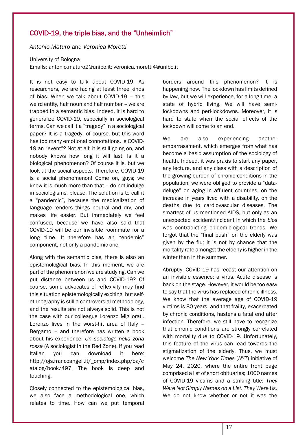# COVID-19, the triple bias, and the "Unheimlich"

*Antonio Maturo* and *Veronica Moretti*

University of Bologna

Emails: antonio.maturo2@unibo.it; veronica.moretti4@unibo.it

It is not easy to talk about COVID-19. As researchers, we are facing at least three kinds of bias. When we talk about COVID-19 – this weird entity, half noun and half number – we are trapped in a semantic bias. Indeed, it is hard to generalize COVID-19, especially in sociological terms. Can we call it a "tragedy" in a sociological paper? It is a tragedy, of course, but this word has too many emotional connotations. Is COVID-19 an "event"? Not at all; it is still going on, and nobody knows how long it will last. Is it a biological phenomenon? Of course it is, but we look at the social aspects. Therefore, COVID-19 is a social phenomenon! Come on, guys; we know it is much more than that – do not indulge in sociologisms, please. The solution is to call it a "pandemic", because the medicalization of language renders things neutral and dry, and makes life easier. But immediately we feel confused, because we have also said that COVID-19 will be our invisible roommate for a long time. It therefore has an "endemic" component, not only a pandemic one.

Along with the semantic bias, there is also an epistemological bias. In this moment, we are part of the phenomenon we are studying. Can we put distance between us and COVID-19? Of course, some advocates of reflexivity may find this situation epistemologically exciting, but selfethnography is still a controversial methodology, and the results are not always solid. This is not the case with our colleague Lorenzo Migliorati. Lorenzo lives in the worst-hit area of Italy – Bergamo – and therefore has written a book about his experience: *Un sociologo nella zona rossa* (A sociologist in the Red Zone). If you read Italian you can download it here: http://ojs.francoangeli.it/\_omp/index.php/oa/c atalog/book/497. The book is deep and touching.

Closely connected to the epistemological bias, we also face a methodological one, which relates to time. How can we put temporal borders around this phenomenon? It is happening now. The lockdown has limits defined by law, but we will experience, for a long time, a state of hybrid living. We will have semilockdowns and peri-lockdowns. Moreover, it is hard to state when the social effects of the lockdown will come to an end.

We are also experiencing another embarrassment, which emerges from what has become a basic assumption of the sociology of health. Indeed, it was praxis to start any paper, any lecture, and any class with a description of the growing burden of chronic conditions in the population; we were obliged to provide a "datadeluge" on aging in affluent countries, on the increase in years lived with a disability, on the deaths due to cardiovascular diseases. The smartest of us mentioned AIDS, but only as an unexpected accident/incident in which the *bios* was contradicting epidemiological trends. We forgot that the "final push" on the elderly was given by the flu; it is not by chance that the mortality rate amongst the elderly is higher in the winter than in the summer.

Abruptly, COVID-19 has recast our attention on an invisible essence: a virus. Acute disease is back on the stage. However, it would be too easy to say that the virus has replaced chronic illness. We know that the average age of COVID-19 victims is 80 years, and that frailty, exacerbated by chronic conditions, hastens a fatal end after infection. Therefore, we still have to recognize that chronic conditions are strongly correlated with mortality due to COVID-19. Unfortunately, this feature of the virus can lead towards the stigmatization of the elderly. Thus, we must welcome *The New York Times* (*NYT*) initiative of May 24, 2020, where the entire front page comprised a list of short obituaries; 1000 names of COVID-19 victims and a striking title: *They Were Not Simply Names on a List. They Were Us*. We do not know whether or not it was the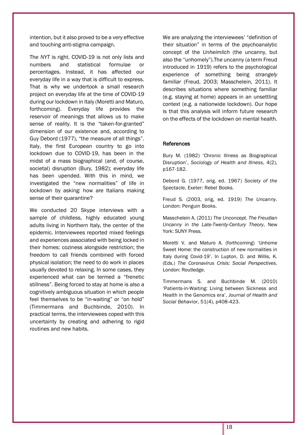intention, but it also proved to be a very effective and touching anti-stigma campaign.

The *NYT* is right. COVID-19 is not only lists and numbers and statistical formulae or percentages. Instead, it has affected our everyday life in a way that is difficult to express. That is why we undertook a small research project on everyday life at the time of COVID-19 during our lockdown in Italy (Moretti and Maturo, forthcoming). Everyday life provides the reservoir of meanings that allows us to make sense of reality. It is the "taken-for-granted" dimension of our existence and, according to Guy Debord (1977), "the measure of all things". Italy, the first European country to go into lockdown due to COVID-19, has been in the midst of a mass biographical (and, of course, societal) disruption (Bury, 1982); everyday life has been upended. With this in mind, we investigated the "new normalities" of life in lockdown by asking: how are Italians making sense of their quarantine?

We conducted 20 Skype interviews with a sample of childless, highly educated young adults living in Northern Italy, the center of the epidemic. Interviewees reported mixed feelings and experiences associated with being locked in their homes: coziness alongside restriction; the freedom to call friends combined with forced physical isolation; the need to do work in places usually devoted to relaxing. In some cases, they experienced what can be termed a "frenetic stillness". Being forced to stay at home is also a cognitively ambiguous situation in which people feel themselves to be "in-waiting" or "on hold" (Timmermans and Buchbinde, 2010). In practical terms, the interviewees coped with this uncertainty by creating and adhering to rigid routines and new habits.

We are analyzing the interviewees' "definition of their situation" in terms of the psychoanalytic concept of the *Unheimlich* (the uncanny, but also the "unhomely").The uncanny (a term Freud introduced in 1919) refers to the psychological experience of something being *strangely familiar* (Freud, 2003; Masschelein, 2011). It describes situations where something familiar (e.g. staying at home) appears in an unsettling context (e.g. a nationwide lockdown). Our hope is that this analysis will inform future research on the effects of the lockdown on mental health.

### **References**

Bury M. (1982) 'Chronic Illness as Biographical Disruption', *Sociology of Health and Illness*, 4(2), p167-182.

Debord G. (1977, orig. ed. 1967) *Society of the Spectacle*, Exeter: Rebel Books.

Freud S. (2003, orig, ed. 1919) *The Uncanny*. London: Penguin Books.

Masschelein A. (2011) *The Unconcept. The Freudian Uncanny in the Late-Twenty-Century Theory*, New York: SUNY Press.

Moretti V. and Maturo A. (forthcoming) 'Unhome Sweet Home: the construction of new normalities in Italy during Covid-19'. In Lupton, D. and Willis, K. (Eds.) *The Coronavirus Crisis: Social Perspectives*. London: Routledge.

Timmermans S. and Buchbinde M. (2010) 'Patients-in-Waiting: Living between Sickness and Health in the Genomics era', *Journal of Health and Social Behavior*, 51(4), p408-423.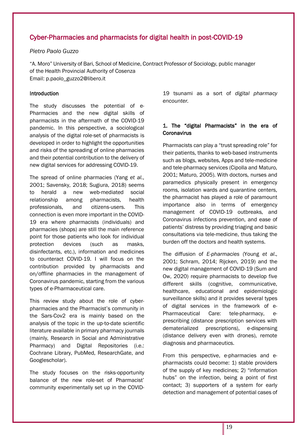# Cyber-Pharmacies and pharmacists for digital health in post-COVID-19

# *Pietro Paolo Guzzo*

"A. Moro" University of Bari, School of Medicine, Contract Professor of Sociology, public manager of the Health Provincial Authority of Cosenza Email: p.paolo\_guzzo2@libero.it

# Introduction

[The](https://www.collinsdictionary.com/it/dizionario/inglese-italiano/the) [study](https://www.collinsdictionary.com/it/dizionario/inglese-italiano/study) [discusse](https://www.collinsdictionary.com/it/dizionario/inglese-italiano/discuss)s [the](https://www.collinsdictionary.com/it/dizionario/inglese-italiano/the) [potential](https://www.collinsdictionary.com/it/dizionario/inglese-italiano/potential) [of](https://www.collinsdictionary.com/it/dizionario/inglese-italiano/of) [e-](https://www.collinsdictionary.com/it/dizionario/inglese-italiano/e_1)Pharma[cies](https://www.collinsdictionary.com/it/dizionario/inglese-italiano/pharmacy) [and](https://www.collinsdictionary.com/it/dizionario/inglese-italiano/and) [the](https://www.collinsdictionary.com/it/dizionario/inglese-italiano/the) [new](https://www.collinsdictionary.com/it/dizionario/inglese-italiano/new) [digital](https://www.collinsdictionary.com/it/dizionario/inglese-italiano/digital) [skills](https://www.collinsdictionary.com/it/dizionario/inglese-italiano/skill) [of](https://www.collinsdictionary.com/it/dizionario/inglese-italiano/of) [pharmacists](https://www.collinsdictionary.com/it/dizionario/inglese-italiano/pharmacist) [in](https://www.collinsdictionary.com/it/dizionario/inglese-italiano/in_1) [the](https://www.collinsdictionary.com/it/dizionario/inglese-italiano/the) [aftermath](https://www.collinsdictionary.com/it/dizionario/inglese-italiano/aftermath) [of](https://www.collinsdictionary.com/it/dizionario/inglese-italiano/of) [the](https://www.collinsdictionary.com/it/dizionario/inglese-italiano/the) COVID-19 [pandemic.](https://www.collinsdictionary.com/it/dizionario/inglese-italiano/pandemic) [In](https://www.collinsdictionary.com/it/dizionario/inglese-italiano/in_1) [this](https://www.collinsdictionary.com/it/dizionario/inglese-italiano/this) [perspective,](https://www.collinsdictionary.com/it/dizionario/inglese-italiano/sense) [a](https://www.collinsdictionary.com/it/dizionario/inglese-italiano/a_1) [sociological](https://www.collinsdictionary.com/it/dizionario/inglese-italiano/sociological) [analysis](https://www.collinsdictionary.com/it/dizionario/inglese-italiano/analysis) of the digital role-set of pharmacists [is](https://www.collinsdictionary.com/it/dizionario/inglese-italiano/is) [developed](https://www.collinsdictionary.com/it/dizionario/inglese-italiano/develop) in orde[r to](https://www.collinsdictionary.com/it/dizionario/inglese-italiano/to) highlight the opportunities and risks of the spreading of online pharmacies and [their](https://www.collinsdictionary.com/it/dizionario/inglese-italiano/their) potential [contribution](https://www.collinsdictionary.com/it/dizionario/inglese-italiano/contribution) to [the](https://www.collinsdictionary.com/it/dizionario/inglese-italiano/the) [delivery](https://www.collinsdictionary.com/it/dizionario/inglese-italiano/delivery) [of](https://www.collinsdictionary.com/it/dizionario/inglese-italiano/of) [new](https://www.collinsdictionary.com/it/dizionario/inglese-italiano/new) [digital](https://www.collinsdictionary.com/it/dizionario/inglese-italiano/digital) [services](https://www.collinsdictionary.com/it/dizionario/inglese-italiano/service) for [addressi](https://www.collinsdictionary.com/it/dizionario/inglese-italiano/address)ng COVID-19.

[The](https://www.collinsdictionary.com/it/dizionario/inglese-italiano/the) [spread](https://www.collinsdictionary.com/it/dizionario/inglese-italiano/spread) [of](https://www.collinsdictionary.com/it/dizionario/inglese-italiano/of) [online](https://www.collinsdictionary.com/it/dizionario/inglese-italiano/online) [pharmacies](https://www.collinsdictionary.com/it/dizionario/inglese-italiano/pharmacy) (Yang *et al.*, 2001; Savensky, 2018; Sugiura, 2018) [seems](https://www.collinsdictionary.com/it/dizionario/inglese-italiano/seem) [to](https://www.collinsdictionary.com/it/dizionario/inglese-italiano/to) [herald](https://www.collinsdictionary.com/it/dizionario/inglese-italiano/herald) [a](https://www.collinsdictionary.com/it/dizionario/inglese-italiano/a_1) [new](https://www.collinsdictionary.com/it/dizionario/inglese-italiano/new) web-mediated [social](https://www.collinsdictionary.com/it/dizionario/inglese-italiano/social) [relationship](https://www.collinsdictionary.com/it/dizionario/inglese-italiano/relationship) among [pharmacists](https://www.collinsdictionary.com/it/dizionario/inglese-italiano/pharmacist), [health](https://www.collinsdictionary.com/it/dizionario/inglese-italiano/health) [professionals](https://www.collinsdictionary.com/it/dizionario/inglese-italiano/professional), [and](https://www.collinsdictionary.com/it/dizionario/inglese-italiano/and) [citizens](https://www.collinsdictionary.com/it/dizionario/inglese-italiano/citizen)[-users](https://www.collinsdictionary.com/it/dizionario/inglese-italiano/user). This [connection](https://www.collinsdictionary.com/it/dizionario/inglese-italiano/relationship) is [even](https://www.collinsdictionary.com/it/dizionario/inglese-italiano/even) [more](https://www.collinsdictionary.com/it/dizionario/inglese-italiano/more) [important](https://www.collinsdictionary.com/it/dizionario/inglese-italiano/important) [in](https://www.collinsdictionary.com/it/dizionario/inglese-italiano/in_1) [the](https://www.collinsdictionary.com/it/dizionario/inglese-italiano/the) COVID-19 era where pharmacists (individuals) and pharmacies (shops) are still the main reference point for those patients who look for individual protection devices (such as masks, disinfectants, etc.), information and medicines to counteract COVID-19. I will focus on the contribution provided by pharmacists and on/offline pharmacies in the management of Coronavirus pandemic, starting from the various types of e-Pharmaceutical care.

[This](https://www.collinsdictionary.com/it/dizionario/inglese-italiano/the) review [study](https://www.collinsdictionary.com/it/dizionario/inglese-italiano/study) [about](https://www.collinsdictionary.com/it/dizionario/inglese-italiano/on) [the](https://www.collinsdictionary.com/it/dizionario/inglese-italiano/the) [role](https://www.collinsdictionary.com/it/dizionario/inglese-italiano/spread) [of](https://www.collinsdictionary.com/it/dizionario/inglese-italiano/of) cyberpharmacies and the Pharmacist's community in the [Sars-](https://www.collinsdictionary.com/it/dizionario/inglese-italiano/sars)Cov2 era [is](https://www.collinsdictionary.com/it/dizionario/inglese-italiano/is) [mainly](https://www.collinsdictionary.com/it/dizionario/inglese-italiano/mainly) [based](https://www.collinsdictionary.com/it/dizionario/inglese-italiano/base) [on](https://www.collinsdictionary.com/it/dizionario/inglese-italiano/on) the [analysis](https://www.collinsdictionary.com/it/dizionario/inglese-italiano/analysis) of the topic in the up-to-date scientific literatur[e available](https://www.collinsdictionary.com/it/dizionario/inglese-italiano/available) in primary pharmacy journals (mainly, Research in Social and Administrative Pharmacy) and Digital Repositories (i.e.: Cochrane Library, PubMed, ResearchGate, and Googlescholar).

The study focuses on the risks-opportunity balance of the new role-set of Pharmacist' community experimentally set up in the COVID- 19 tsunami [as](https://www.collinsdictionary.com/it/dizionario/inglese-italiano/of) a sort of *[digital](https://www.collinsdictionary.com/it/dizionario/inglese-italiano/digital) [pharmacy](https://www.collinsdictionary.com/it/dizionario/inglese-italiano/pharmacy) [encounter.](https://www.collinsdictionary.com/it/dizionario/inglese-italiano/encounter)*

# 1. The "digital Pharmacists" in the era of **Coronavirus**

Pharmacists can play a "trust spreading role" for their patients, thanks to web-based instruments such as blogs, websites, Apps and tele-medicine and tele-pharmacy services (Cipolla and Maturo, 2001; Maturo, 2005). With doctors, nurses and paramedics physically present in emergency rooms, isolation wards and quarantine centers, the pharmacist has played a role of paramount importance also in terms of emergency management of COVID-19 outbreaks, and Coronavirus infections prevention, and ease of patients' distress by providing triaging and basic consultations via tele-medicine, thus taking the burden off the doctors and health systems.

The diffusion of *E-pharmacies* (Young *et al*., 2001; Schram, 2014; Rijcken, 2019) and the new digital management of COVID-19 (Sum and Ow, 2020) require pharmacists to develop five different skills (cognitive, communicative, healthcare, educational and epidemiologic surveillance skills) and it provides several types of digital services in the framework of e-Pharmaceutical Care: tele-pharmacy, eprescribing (distance prescription services with dematerialized prescriptions), e-dispensing (distance delivery even with drones), remote diagnosis and pharmaceutics.

From this perspective, e-pharmacies and epharmacists could become: 1) stable providers of the supply of key medicines; 2) "information hubs" on the infection, being a point of first contact; 3) supporters of a system for early detection and management of potential cases of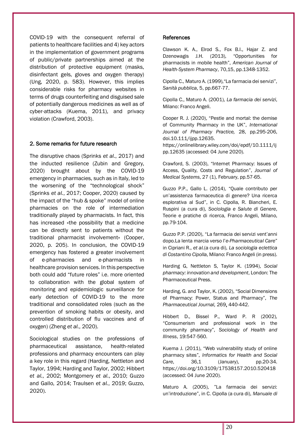COVID-19 with the consequent referral of patients to healthcare facilities and 4) key actors in the implementation of government programs of public/private partnerships aimed at the distribution of protective equipment (masks, disinfectant gels, gloves and oxygen therapy) (Ung, 2020, p. 583). However, this implies considerable risks for pharmacy websites in terms of drugs counterfeiting and disguised sale of potentially dangerous medicines as well as of cyber-attacks (Kuema, 2011), and privacy violation (Crawford, 2003).

# 2. Some remarks for future research

The disruptive chaos (Sprinks *et al.*, 2017) and the inducted resilience (Zubin and Gregory, 2020) brought about by the COVID-19 emergency in pharmacies, such as in Italy, led to the worsening of the "technological shock" (Sprinks *et al.*, 2017; Cooper, 2020) caused by the impact of the "hub & spoke" model of online pharmacies on the role of intermediation traditionally played by pharmacists. In fact, this has increased «the possibility that a medicine can be directly sent to patients without the traditional pharmacist involvement» (Cooper, 2020, p. 205). In conclusion, the COVID-19 emergency has fostered a greater involvement of e-pharmacies and e-pharmacists in healthcare provision services. In this perspective both could add "future roles" i.e. more oriented to collaboration with the global system of monitoring and epidemiologic surveillance for early detection of COVID-19 to the more traditional and consolidated roles (such as the prevention of smoking habits or obesity, and controlled distribution of flu vaccines and of oxygen) (Zheng *et al.*, 2020).

Sociological studies on the professions of pharmaceutical assistance, health-related professions and pharmacy encounters can play a key role in this regard (Harding, Nettleton and Taylor, 1994; Harding and Taylor, 2002; Hibbert *et al.*, 2002; Montgomery *et al.*, 2010; Guzzo and Gallo, 2014; Traulsen *et al.*, 2019; Guzzo, 2020).

#### References

Clawson K. A., Elrod S., Fox B.I., Hajar Z. and Dzenowagis J.H. (2013), "Opportunities for pharmacists in mobile health", *American Journal of Health-System Pharmacy*, 70,15, pp.1348-1352.

Cipolla C., Maturo A. (1999),"La farmacia dei servizi", *Sanità pubblica*, 5, pp.667-77.

Cipolla C., Maturo A. (2001), *La farmacia dei servizi*, Milano: Franco Angeli.

Cooper R. J. (2020), "Pestle and mortal: the demise of Community Pharmacy in the UK", *International Journal of Pharmacy Practice,* 28, pp.295-206, doi.10.111/ijpp.12635.

[https://onlinelibrary.wiley.com/doi/epdf/10.1111/ij](https://onlinelibrary.wiley.com/doi/epdf/10.1111/ijpp.12635) [pp.12635](https://onlinelibrary.wiley.com/doi/epdf/10.1111/ijpp.12635) (accessed: 04 June 2020).

Crawford, S. (2003), "Internet Pharmacy: Issues of Access, Quality, Costs and Regulation", *Journal of Medical Systems*, 27 (1), February, pp.57-65.

Guzzo P.P., Gallo L. (2014), "Quale contributo per un'assistenza farmaceutica di genere? Una ricerca esplorativa al Sud", in C. Cipolla, R. Biancheri, E. Ruspini (a cura di), *Sociologia e Salute di Genere*, Teorie e pratiche di ricerca, Franco Angeli, Milano, pp.79-104.

Guzzo P.P. (2020), "La farmacia dei servizi vent'anni dopo.La lenta marcia verso l'*e-Pharmaceutical Care*" in Cipriani R., *et al.*(a cura di), *La sociologia eclettica di Costantino Cipolla,* Milano: Franco Angeli (in press).

Harding G, Nettleton S, Taylor K. (1994), *Social pharmacy: innovation and development*, London: The Pharmaceutical Press.

Harding, G. and Taylor, K. (2002), "Social Dimensions of Pharmacy: Power, Status and Pharmacy", *The Pharmaceutical Journal,* 269, 440-442.

Hibbert D., Bissel P., Ward P. R (2002), "Consumerism and professional work in the community pharmacy", *Sociology of Health and Illness*, 19:547-560.

Kuema J. (2011), "Web vulnerability study of online pharmacy sites", *Informatics for Health and Social*  Care, 36,1 (January), pp.20-34. <https://doi.org/10.3109/17538157.2010.520418> (accessed: 04 June 2020).

Maturo A. (2005), "La farmacia dei servizi: un'introduzione", in C. Cipolla (a cura di), *Manuale di*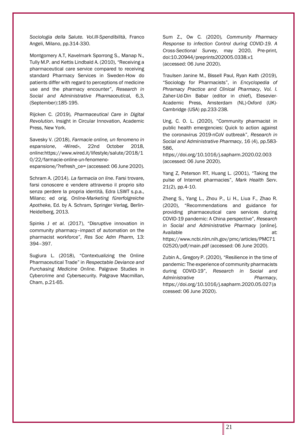*Sociologia della Salute. Vol.III-Spendibilità*, Franco Angeli, Milano, pp.314-330.

Montgomery A.T, Kavelmark Sporrong S., Manap N., Tully M.P. and Kettis Lindbald A. (2010), "Receiving a pharmaceutical care service compared to receiving standard Pharmacy Services in Sweden-How do patients differ with regard to perceptions of medicine use and the pharmacy encounter", *Research in Social and Administrative Pharmaceutic*al, 6,3, (September):185-195.

Rijcken C. (2019), *Pharmaceutical Care in Digital Revolution*. Insight in Circular Innovation, Academic Press, New York.

Savesky V. (2018), *Farmacie online, un fenomeno in espansione*, «Wired», 22nd October 2018, online[:https://www.wired.it/lifestyle/salute/2018/1](https://www.wired.it/lifestyle/salute/2018/10/22/farmacie-online-un-fenomeno-espansione/?refresh_ce) [0/22/farmacie-online-un-fenomeno-](https://www.wired.it/lifestyle/salute/2018/10/22/farmacie-online-un-fenomeno-espansione/?refresh_ce)

[espansione/?refresh\\_ce=](https://www.wired.it/lifestyle/salute/2018/10/22/farmacie-online-un-fenomeno-espansione/?refresh_ce) (accessed: 06 June 2020).

Schram A. (2014). *La farmacia on line*. Farsi trovare, farsi conoscere e vendere attraverso il proprio sito senza perdere la propria identità, Edra LSWT s.p.a., Milano; ed orig. *Online-Marketing fürerfolgreiche Apothek*e, Ed. by A. Schram, Springer Verlag, Berlin-Heidelberg, 2013.

Spinks J *et al.* (2017), "Disruptive innovation in community pharmacy–impact of automation on the pharmacist workforce", *Res Soc Adm Pharm*, 13: 394–397.

Sugiura L. (2018), "Contextualizing the Online Pharmaceutical Trade" in *Respectable Deviance and Purchasing Medicine Online*. Palgrave Studies in Cybercrime and Cybersecurity. Palgrave Macmillan, Cham, p.21-65.

Sum Z., Ow C. (2020), *Community Pharmacy Response to infection Control during COVID-19. A Cross-Sectional Survey*, may 2020, Pre-print, doi[:10.20944/preprints202005.0338.v1](https://www.researchgate.net/deref/http%3A%2F%2Fdx.doi.org%2F10.20944%2Fpreprints202005.0338.v1?_sg%5B0%5D=tSauRhwEplMLe7KQ1jfhDazh0zNsrugRWWMMnbTv9iuPrsBm2-yMWlI6YHq_SJfnQZi-IQjEElqUlJkZ6a8UOUGfzg.sh3T3Pv6bJTrvc8cMkiehgnSoOTmCHzV5OXwtEGu-ecYop75TKOgHmp1P1k1ce9nMmPKSedjT5J2A63uFQH8kA) (accessed: 06 June 2020).

Traulsen Janine M., Bissell Paul, Ryan Kath (2019), "Sociology for Pharmacists", in *Encyclopedia of Phramacy Practice and Clinical Pharmacy*, *Vol. I*. Zaher-Ud-Din Babar (editor in chief), Elesevier-Academic Press, Amsterdam (NL)-Oxford (UK)- Cambridge (USA) pp.233-238.

Ung, C. O. L. (2020), "Community pharmacist in public health emergencies: Quick to action against the coronavirus 2019-nCoV outbreak", *Research in Social and Administrative Pharmacy*, 16 (4), pp.583- 586,

<https://doi.org/10.1016/j.sapharm.2020.02.003> (accessed: 06 June 2020).

Yang Z, Peterson RT, Huang L. (2001), "Taking the pulse of Internet pharmacies", *Mark Health Serv*. 21(2), pp.4‐10.

Zheng S., Yang L., Zhou P., Li H., Liua F., Zhao R. (2020), "Recommendations and guidance for providing pharmaceutical care services during COVID-19 pandemic: A China perspective", *Research in Social and Administrative Pharmacy* [online]. Available at:

[https://www.ncbi.nlm.nih.gov/pmc/articles/PMC71](https://www.ncbi.nlm.nih.gov/pmc/articles/PMC7102520/pdf/main.pdf) [02520/pdf/main.pdf](https://www.ncbi.nlm.nih.gov/pmc/articles/PMC7102520/pdf/main.pdf) (accessed: 06 June 2020).

Zubin A., Gregory P. (2020), "Resilience in the time of pandemic: The experience of community pharmacists during COVID-19", *Research in Social and*  Administrative **Pharmacy**, [https://doi.org/10.1016/j.sapharm.2020.05.027\(](https://doi.org/10.1016/j.sapharm.2020.05.027)a ccessed: 06 June 2020).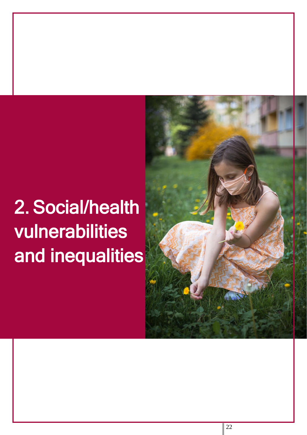# 2. Social/health vulnerabilities and inequalities

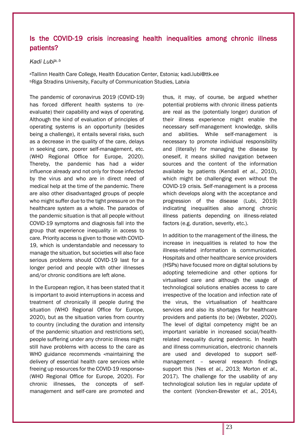# Is the COVID-19 crisis increasing health inequalities among chronic illness patients?

# *Kadi Lubia, b*

<sup>a</sup>Tallinn Health Care College, Health Education Center, Estonia; [kadi.lubi@ttk.ee](about:blank) **bRiga Stradins University, Faculty of Communication Studies, Latvia** 

The pandemic of coronavirus 2019 (COVID-19) has forced different health systems to (reevaluate) their capability and ways of operating. Although the kind of evaluation of principles of operating systems is an opportunity (besides being a challenge), it entails several risks, such as a decrease in the quality of the care, delays in seeking care, poorer self-management, etc. (WHO Regional Office for Europe, 2020). Thereby, the pandemic has had a wider influence already and not only for those infected by the virus and who are in direct need of medical help at the time of the pandemic. There are also other disadvantaged groups of people who might suffer due to the tight pressure on the healthcare system as a whole. The paradox of the pandemic situation is that all people without COVID-19 symptoms and diagnosis fall into the group that experience inequality in access to care. Priority access is given to those with COVID-19, which is understandable and necessary to manage the situation, but societies will also face serious problems should COVID-19 last for a longer period and people with other illnesses and/or chronic conditions are left alone.

In the European region, it has been stated that it is important to avoid interruptions in access and treatment of chronically ill people during the situation (WHO Regional Office for Europe, 2020), but as the situation varies from country to country (including the duration and intensity of the pandemic situation and restrictions set), people suffering under any chronic illness might still have problems with access to the care as WHO guidance recommends «maintaining the delivery of essential health care services while freeing up resources for the COVID-19 response» (WHO Regional Office for Europe, 2020). For chronic illnesses, the concepts of selfmanagement and self-care are promoted and thus, it may, of course, be argued whether potential problems with chronic illness patients are real as the (potentially longer) duration of their illness experience might enable the necessary self-management knowledge, skills and abilities. While self-management is necessary to promote individual responsibility and (literally) for managing the disease by oneself, it means skilled navigation between sources and the content of the information available by patients (Kendall *et al.*, 2010), which might be challenging even without the COVID-19 crisis. Self-management is a process which develops along with the acceptance and progression of the disease (Lubi, 2019) indicating inequalities also among chronic illness patients depending on illness-related factors (e.g. duration, severity, etc.).

In addition to the management of the illness, the increase in inequalities is related to how the illness-related information is communicated. Hospitals and other healthcare service providers (HSPs) have focused more on digital solutions by adopting telemedicine and other options for virtualised care and although the usage of technological solutions enables access to care irrespective of the location and infection rate of the virus, the virtualisation of healthcare services and also its shortages for healthcare providers and patients (to be) (Webster, 2020). The level of digital competency might be an important variable in increased social/healthrelated inequality during pandemic. In health and illness communication, electronic channels are used and developed to support selfmanagement – several research findings support this (Nes *et al.*, 2013; Morton *et al.*, 2017). The challenge for the usability of any technological solution lies in regular update of the content (Voncken-Brewster *et al.*, 2014),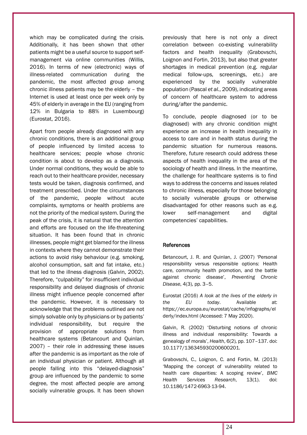which may be complicated during the crisis. Additionally, it has been shown that other patients might be a useful source to support selfmanagement via online communities (Willis, 2016). In terms of new (electronic) ways of illness-related communication during the pandemic, the most affected group among chronic illness patients may be the elderly – the Internet is used at least once per week only by 45% of elderly in average in the EU (ranging from 12% in Bulgaria to 88% in Luxembourg) (Eurostat, 2016).

Apart from people already diagnosed with any chronic conditions, there is an additional group of people influenced by limited access to healthcare services; people whose chronic condition is about to develop as a diagnosis. Under normal conditions, they would be able to reach out to their healthcare provider, necessary tests would be taken, diagnosis confirmed, and treatment prescribed. Under the circumstances of the pandemic, people without acute complaints, symptoms or health problems are not the priority of the medical system. During the peak of the crisis, it is natural that the attention and efforts are focused on the life-threatening situation. It has been found that in chronic illnesses, people might get blamed for the illness in contexts where they cannot demonstrate their actions to avoid risky behaviour (e.g. smoking, alcohol consumption, salt and fat intake, etc.) that led to the illness diagnosis (Galvin, 2002). Therefore, "culpability" for insufficient individual responsibility and delayed diagnosis of chronic illness might influence people concerned after the pandemic. However, it is necessary to acknowledge that the problems outlined are not simply solvable only by physicians or by patients' individual responsibility, but require the provision of appropriate solutions from healthcare systems (Betancourt and Quinlan, 2007) – their role in addressing these issues after the pandemic is as important as the role of an individual physician or patient. Although all people falling into this "delayed-diagnosis" group are influenced by the pandemic to some degree, the most affected people are among socially vulnerable groups. It has been shown previously that here is not only a direct correlation between co-existing vulnerability factors and health inequality (Grabovschi, Loignon and Fortin, 2013), but also that greater shortages in medical prevention (e.g. regular medical follow-ups, screenings, etc.) are experienced by the socially vulnerable population (Pascal *et al.*, 2009), indicating areas of concern of healthcare system to address during/after the pandemic.

To conclude, people diagnosed (or to be diagnosed) with any chronic condition might experience an increase in health inequality in access to care and in health status during the pandemic situation for numerous reasons. Therefore, future research could address these aspects of health inequality in the area of the sociology of health and illness. In the meantime, the challenge for healthcare systems is to find ways to address the concerns and issues related to chronic illness, especially for those belonging to socially vulnerable groups or otherwise disadvantaged for other reasons such as e.g. lower self-management and digital competencies' capabilities.

### References

Betancourt, J. R. and Quinlan, J. (2007) 'Personal responsibility versus responsible options: Health care, community health promotion, and the battle against chronic disease', *Preventing Chronic Disease*, 4(3), pp. 3–5.

Eurostat (2016) *A look at the lives of the elderly in the EU today*. Available at: https://ec.europa.eu/eurostat/cache/infographs/el derly/index.html (Accessed: 7 May 2020).

Galvin, R. (2002) 'Disturbing notions of chronic illness and individual responsibility: Towards a genealogy of morals', *Health*, 6(2), pp. 107–137. doi: 10.1177/136345930200600201.

Grabovschi, C., Loignon, C. and Fortin, M. (2013) 'Mapping the concept of vulnerability related to health care disparities: A scoping review', *BMC Health Services Research*, 13(1). doi: 10.1186/1472-6963-13-94.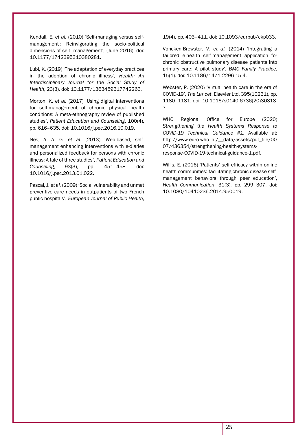Kendall, E. *et al.* (2010) 'Self-managing versus selfmanagement: Reinvigorating the socio-political dimensions of self- management', (June 2016). doi: 10.1177/1742395310380281.

Lubi, K. (2019) 'The adaptation of everyday practices in the adoption of chronic illness', *Health: An Interdisciplinary Journal for the Social Study of Health*, 23(3). doi: 10.1177/1363459317742263.

Morton, K. *et al.* (2017) 'Using digital interventions for self-management of chronic physical health conditions: A meta-ethnography review of published studies', *Patient Education and Counseling*, 100(4), pp. 616–635. doi: 10.1016/j.pec.2016.10.019.

Nes, A. A. G. *et al.* (2013) 'Web-based, selfmanagement enhancing interventions with e-diaries and personalized feedback for persons with chronic illness: A tale of three studies', *Patient Education and Counseling*, 93(3), pp. 451–458. doi: 10.1016/j.pec.2013.01.022.

Pascal, J. *et al.* (2009) 'Social vulnerability and unmet preventive care needs in outpatients of two French public hospitals', *European Journal of Public Health*,

19(4), pp. 403–411. doi: 10.1093/eurpub/ckp033.

Voncken-Brewster, V. *et al.* (2014) 'Integrating a tailored e-health self-management application for chronic obstructive pulmonary disease patients into primary care: A pilot study', *BMC Family Practice*, 15(1). doi: 10.1186/1471-2296-15-4.

Webster, P. (2020) 'Virtual health care in the era of COVID-19', *The Lancet*. Elsevier Ltd, 395(10231), pp. 1180–1181. doi: 10.1016/s0140-6736(20)30818- 7.

WHO Regional Office for Europe (2020) *Strengthening the Health Systems Response to COVID-19 Technical Guidance #1*. Available at: http://www.euro.who.int/\_\_data/assets/pdf\_file/00 07/436354/strengthening-health-systemsresponse-COVID-19-technical-guidance-1.pdf.

Willis, E. (2016) 'Patients' self-efficacy within online health communities: facilitating chronic disease selfmanagement behaviors through peer education', *Health Communication*, 31(3), pp. 299–307. doi: 10.1080/10410236.2014.950019.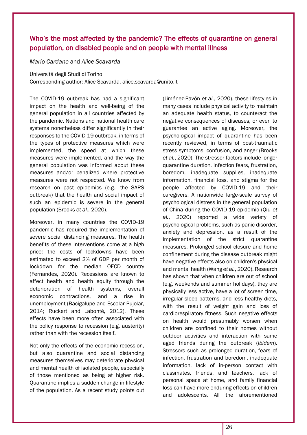# Who's the most affected by the pandemic? The effects of quarantine on general population, on disabled people and on people with mental illness

*Mario Cardano* and *Alice Scavarda*

Università degli Studi di Torino

Corresponding author: Alice Scavarda, [alice.scavarda@unito.it](mailto:alice.scavarda@unito.it)

The COVID-19 outbreak has had a significant impact on the health and well-being of the general population in all countries affected by the pandemic. Nations and national health care systems nonetheless differ significantly in their responses to the COVID-19 outbreak, in terms of the types of protective measures which were implemented, the speed at which these measures were implemented, and the way the general population was informed about these measures and/or penalized where protective measures were not respected. We know from research on past epidemics (e.g., the SARS outbreak) that the health and social impact of such an epidemic is severe in the general population (Brooks *et al.*, 2020).

Moreover, in many countries the COVID-19 pandemic has required the implementation of severe social distancing measures. The health benefits of these interventions come at a high price: the costs of lockdowns have been estimated to exceed 2% of GDP per month of lockdown for the median OECD country (Fernandes, 2020). Recessions are known to affect health and health equity through the deterioration of health systems, overall economic contractions, and a rise in unemployment (Bacigalupe and Escolar-Pujolar, 2014; Ruckert and Labonté, 2012). These effects have been more often associated with the policy response to recession (e.g. austerity) rather than with the recession itself.

Not only the effects of the economic recession, but also quarantine and social distancing measures themselves may deteriorate physical and mental health of isolated people, especially of those mentioned as being at higher risk. Quarantine implies a sudden change in lifestyle of the population. As a recent study points out (Jiménez-Pavón *et al.*, 2020), these lifestyles in many cases include physical activity to maintain an adequate health status, to counteract the negative consequences of diseases, or even to guarantee an active aging. Moreover, the psychological impact of quarantine has been recently reviewed, in terms of post-traumatic stress symptoms, confusion, and anger (Brooks *et al.*, 2020). The stressor factors include longer quarantine duration, infection fears, frustration, boredom, inadequate supplies, inadequate information, financial loss, and stigma for the people affected by COVID-19 and their caregivers. A nationwide large-scale survey of psychological distress in the general population of China during the COVID-19 epidemic (Qiu *et al.*, 2020) reported a wide variety of psychological problems, such as panic disorder, anxiety and depression, as a result of the implementation of the strict quarantine measures. Prolonged school closure and home confinement during the disease outbreak might have negative effects also on children's physical and mental health (Wang *et al.*, 2020). Research has shown that when children are out of school (e.g, weekends and summer holidays), they are physically less active, have a lot of screen time, irregular sleep patterns, and less healthy diets, with the result of weight gain and loss of cardiorespiratory fitness. Such negative effects on health would presumably worsen when children are confined to their homes without outdoor activities and interaction with same aged friends during the outbreak (*ibidem*). Stressors such as prolonged duration, fears of infection, frustration and boredom, inadequate information, lack of in-person contact with classmates, friends, and teachers, lack of personal space at home, and family financial loss can have more enduring effects on children and adolescents. All the aforementioned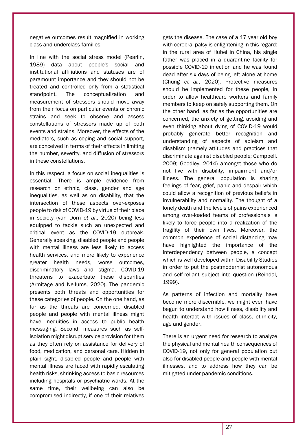negative outcomes result magnified in working class and underclass families.

In line with the social stress model (Pearlin, 1989) data about people's social and institutional affiliations and statuses are of paramount importance and they should not be treated and controlled only from a statistical standpoint. The conceptualization and measurement of stressors should move away from their focus on particular events or chronic strains and seek to observe and assess constellations of stressors made up of both events and strains. Moreover, the effects of the mediators, such as coping and social support, are conceived in terms of their effects in limiting the number, severity, and diffusion of stressors in these constellations.

In this respect, a focus on social inequalities is essential. There is ample evidence from research on ethnic, class, gender and age inequalities, as well as on disability, that the intersection of these aspects over-exposes people to risk of COVID-19 by virtue of their place in society (van Dorn *et al*., 2020) being less equipped to tackle such an unexpected and critical event as the COVID-19 outbreak. Generally speaking, disabled people and people with mental illness are less likely to access health services, and more likely to experience greater health needs, worse outcomes, discriminatory laws and stigma. COVID-19 threatens to exacerbate these disparities (Armitage and Nellums, 2020). The pandemic presents both threats and opportunities for these categories of people. On the one hand, as far as the threats are concerned, disabled people and people with mental illness might have inequities in access to public health messaging. Second, measures such as selfisolation might disrupt service provision for them as they often rely on assistance for delivery of food, medication, and personal care. Hidden in plain sight, disabled people and people with mental illness are faced with rapidly escalating health risks, shrinking access to basic resources including hospitals or psychiatric wards. At the same time, their wellbeing can also be compromised indirectly, if one of their relatives

gets the disease. The case of a 17 year old boy with cerebral palsy is enlightening in this regard: in the rural area of Hubei in China, his single father was placed in a quarantine facility for possible COVID-19 infection and he was found dead after six days of being left alone at home (Chung *et al.*, 2020). Protective measures should be implemented for these people, in order to allow healthcare workers and family members to keep on safely supporting them. On the other hand, as far as the opportunities are concerned, the anxiety of getting, avoiding and even thinking about dying of COVID-19 would probably generate better recognition and understanding of aspects of ableism and disablism (namely attitudes and practices that discriminate against disabled people; Campbell, 2009; Goodley, 2014) amongst those who do not live with disability, impairment and/or illness. The general population is sharing feelings of fear, grief, panic and despair which could allow a recognition of previous beliefs in invulnerability and normality. The thought of a lonely death and the levels of pains experienced among over-loaded teams of professionals is likely to force people into a realization of the fragility of their own lives. Moreover, the common experience of social distancing may have highlighted the importance of the interdependency between people, a concept which is well developed within Disability Studies in order to put the postmodernist autonomous and self-reliant subject into question (Reindal, 1999).

As patterns of infection and mortality have become more discernible, we might even have begun to understand how illness, disability and health interact with issues of class, ethnicity, age and gender.

There is an urgent need for research to analyze the physical and mental health consequences of COVID-19, not only for general population but also for disabled people and people with mental illnesses, and to address how they can be mitigated under pandemic conditions.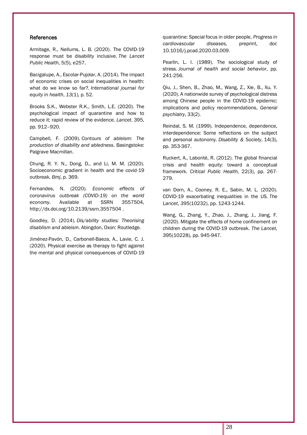#### References

Armitage, R., Nellums, L. B. (2020). The COVID-19 response must be disability inclusive. *The Lancet Public Health*, 5(5), e257.

Bacigalupe, A., Escolar-Pujolar, A. (2014). The impact of economic crises on social inequalities in health: what do we know so far?. *International journal for equity in health*, *13*(1), p. 52.

Brooks S.K., Webster R.K., Smith, L.E. (2020). The psychological impact of quarantine and how to reduce it: rapid review of the evidence. *Lancet.* 395, pp. 912–920.

Campbell, F. (2009). *Contours of ableism: The production of disability and abledness*. Basingstoke: Palgrave Macmillan.

Chung, R. Y. N., Dong, D., and Li, M. M. (2020). Socioeconomic gradient in health and the covid-19 outbreak*. Bmj*, p. 369.

Fernandes, N. (2020). *Economic effects of coronavirus outbreak (COVID-19) on the world economy*. Available at SSRN 3557504, [http://dx.doi.org/10.2139/ssrn.3557504 .](https://dx.doi.org/10.2139/ssrn.3557504)

Goodley, D. (2014). *Dis/ability studies: Theorising disablism and ableism*. Abingdon, Oxon: Routledge.

Jiménez-Pavón, D., Carbonell-Baeza, A., Lavie, C. J. (2020). Physical exercise as therapy to fight against the mental and physical consequences of COVID-19 quarantine: Special focus in older people, *Progress in cardiovascular diseases*, preprint, doi: 10.1016/j.pcad.2020.03.009.

Pearlin, L. I. (1989). The sociological study of stress. *Journal of health and social behavior*, pp. 241-256.

Qiu, J., Shen, B., Zhao, M., Wang, Z., Xie, B., Xu, Y. (2020). A nationwide survey of psychological distress among Chinese people in the COVID-19 epidemic: implications and policy recommendations, *General psychiatry*, 33(2).

Reindal, S. M. (1999). Independence, dependence, interdependence: Some reflections on the subject and personal autonomy. *Disability & Society*, 14(3), pp. 353-367.

Ruckert, A., Labonté, R. (2012). The global financial crisis and health equity: toward a conceptual framework. *Critical Public Health*, 22(3), pp. 267- 279.

van Dorn, A., Cooney, R. E., Sabin, M. L. (2020). COVID-19 exacerbating inequalities in the US. *The Lancet*, *395*(10232), pp. 1243-1244.

Wang, G., Zhang, Y., Zhao, J., Zhang, J., Jiang, F. (2020). Mitigate the effects of home confinement on children during the COVID-19 outbreak. *The Lancet*, 395(10228), pp. 945-947.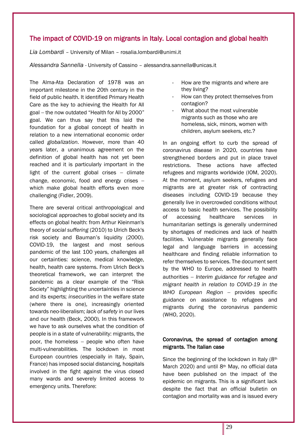# The impact of COVID-19 on migrants in Italy. Local contagion and global health

*Lia Lombardi* – University of Milan – [rosalia.lombardi@unimi.it](about:blank)

*Alessandra Sannella* - University of Cassino – [alessandra.sannella@unicas.it](about:blank)

The Alma-Ata Declaration of 1978 was an important milestone in the 20th century in the field of public health. It identified Primary Health Care as the key to achieving the Health for All goal − the now outdated "Health for All by 2000" goal. We can thus say that this laid the foundation for a global concept of health in relation to a new international economic order called *globalization*. However, more than 40 years later, a unanimous agreement on the definition of global health has not yet been reached and it is particularly important in the light of the current global crises − climate change, economic, food and energy crises − which make global health efforts even more challenging (Fidler, 2009).

There are several critical anthropological and sociological approaches to global society and its effects on global health: from Arthur Kleinman's theory of *social suffering* (2010) to Ulrich Beck's risk society and Bauman's liquidity (2000). COVID-19, the largest and most serious pandemic of the last 100 years, challenges all our certainties: science, medical knowledge, health, health care systems. From Ulrich Beck's theoretical framework, we can interpret the pandemic as a clear example of the "Risk Society" highlighting the *uncertainties* in science and its experts; *insecurities* in the welfare state (where there is one), increasingly oriented towards neo-liberalism; *lack of safety* in our lives and our health (Beck, 2000). In this framework we have to ask ourselves what the condition of people is in a state of vulnerability: migrants, the poor, the homeless – people who often have multi-vulnerabilities. The lockdown in most European countries (especially in Italy, Spain, France) has imposed social distancing, hospitals involved in the fight against the virus closed many wards and severely limited access to emergency units. Therefore:

- How are the migrants and where are they living?
- How can they protect themselves from contagion?
- What about the most vulnerable migrants such as those who are homeless, sick, minors, women with children, asylum seekers, etc.?

In an ongoing effort to curb the spread of coronavirus disease in 2020, countries have strengthened borders and put in place travel restrictions. These actions have affected refugees and migrants worldwide (IOM, 2020). At the moment, asylum seekers, refugees and migrants are at greater risk of contracting diseases including COVID-19 because they generally live in overcrowded conditions without access to basic health services. The possibility of accessing healthcare services in humanitarian settings is generally undermined by shortages of medicines and lack of health facilities. Vulnerable migrants generally face legal and language barriers in accessing healthcare and finding reliable information to refer themselves to services. The document sent by the WHO to Europe, addressed to health authorities − *Interim guidance for refugee and migrant health in relation to COVID-19 in the WHO European Region* − provides specific guidance on assistance to refugees and migrants during the coronavirus pandemic (WHO, 2020).

# Coronavirus, the spread of contagion among migrants. The Italian case

Since the beginning of the lockdown in Italy (8th March 2020) and until 8<sup>th</sup> May, no official data have been published on the impact of the epidemic on migrants. This is a significant lack despite the fact that an official bulletin on contagion and mortality was and is issued every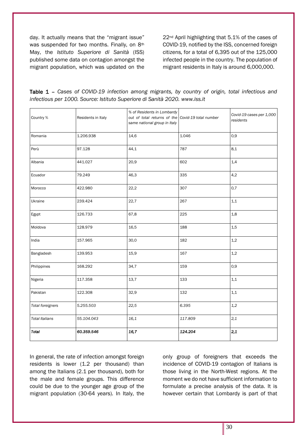day. It actually means that the "migrant issue" was suspended for two months. Finally, on 8th May, the *Istituto Superiore di Sanità* (ISS) published some data on contagion amongst the migrant population, which was updated on the 22nd April highlighting that 5.1% of the cases of COVID-19, notified by the ISS, concerned foreign citizens, for a total of 6,395 out of the 125,000 infected people in the country. The population of migrant residents in Italy is around 6,000,000.

| Table 1 - Cases of COVID-19 infection among migrants, by country of origin, total infectious and |  |  |  |  |  |  |  |
|--------------------------------------------------------------------------------------------------|--|--|--|--|--|--|--|
| infectious per 1000. Source: Istituto Superiore di Sanità 2020. www.iss.it                       |  |  |  |  |  |  |  |

| Country %               | Residents in Italy | % of Residents in Lombardy<br>out of total returns of the Covid-19 total number<br>same national group in Italy |         | Covid-19 cases per 1,000<br>residents |  |
|-------------------------|--------------------|-----------------------------------------------------------------------------------------------------------------|---------|---------------------------------------|--|
| Romania                 | 1.206.938          | 14,6                                                                                                            | 1.046   | 0,9                                   |  |
| Perù                    | 97.128             | 44,1                                                                                                            | 787     | 8,1                                   |  |
| Albania                 | 441.027            | 20,9                                                                                                            | 602     | 1,4                                   |  |
| Ecuador                 | 79.249             | 46,3                                                                                                            | 335     | 4,2                                   |  |
| Morocco                 | 422.980            | 22,2                                                                                                            | 307     | 0,7                                   |  |
| Ukraine                 | 239.424            | 22,7                                                                                                            | 267     | 1,1                                   |  |
| Egypt                   | 126.733            | 67,8                                                                                                            | 225     | 1,8                                   |  |
| Moldova                 | 128.979            | 16,5                                                                                                            | 188     | 1,5                                   |  |
| India                   | 157.965            | 30,0                                                                                                            | 182     | 1,2                                   |  |
| Bangladesh              | 139.953            | 15,9                                                                                                            | 167     | 1,2                                   |  |
| Philippines             | 168.292            | 34,7                                                                                                            | 159     | 0,9                                   |  |
| Nigeria                 | 117.358            | 13,7                                                                                                            | 133     | 1,1                                   |  |
| Pakistan                | 122.308            | 32,9                                                                                                            | 132     | 1,1                                   |  |
| <b>Total foreigners</b> | 5.255.503          | 22,5                                                                                                            | 6.395   | 1,2                                   |  |
| <b>Total Italians</b>   | 55.104.043         | 16,1                                                                                                            | 117.809 | 2,1                                   |  |
| <b>Total</b>            | 60.359.546         | 16,7                                                                                                            | 124.204 | 2,1                                   |  |

In general, the rate of infection amongst foreign residents is lower (1.2 per thousand) than among the Italians (2.1 per thousand), both for the male and female groups. This difference could be due to the younger age group of the migrant population (30-64 years). In Italy, the only group of foreigners that exceeds the incidence of COVID-19 contagion of Italians is those living in the North-West regions. At the moment we do not have sufficient information to formulate a precise analysis of the data. It is however certain that Lombardy is part of that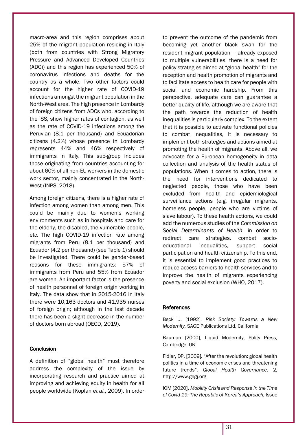macro-area and this region comprises about 25% of the migrant population residing in Italy (both from countries with Strong Migratory Pressure and Advanced Developed Countries (ADC)) and this region has experienced 50% of coronavirus infections and deaths for the country as a whole. Two other factors could account for the higher rate of COVID-19 infections amongst the migrant population in the North-West area. The high presence in Lombardy of foreign citizens from ADCs who, according to the ISS, show higher rates of contagion, as well as the rate of COVID-19 infections among the Peruvian (8.1 per thousand) and Ecuadorian citizens (4.2%) whose presence in Lombardy represents 44% and 46% respectively of immigrants in Italy. This sub-group includes those originating from countries accounting for about 60% of all non-EU workers in the domestic work sector, mainly concentrated in the North-West (INPS, 2018).

Among foreign citizens, there is a higher rate of infection among women than among men. This could be mainly due to women's working environments such as in hospitals and care for the elderly, the disabled, the vulnerable people, etc. The high COVID-19 infection rate among migrants from Peru (8.1 per thousand) and Ecuador (4.2 per thousand) (see Table 1) should be investigated. There could be gender-based reasons for these immigrants: 57% of immigrants from Peru and 55% from Ecuador are women. An important factor is the presence of health personnel of foreign origin working in Italy. The data show that in 2015-2016 in Italy there were 10,163 doctors and 41,935 nurses of foreign origin; although in the last decade there has been a slight decrease in the number of doctors born abroad (OECD, 2019).

### **Conclusion**

A definition of "global health" must therefore address the complexity of the issue by incorporating research and practice aimed at improving and achieving equity in health for all people worldwide (Koplan *et al.*, 2009). In order to prevent the outcome of the pandemic from becoming yet another black swan for the resident migrant population – already exposed to multiple vulnerabilities, there is a need for policy strategies aimed at "global health" for the reception and health promotion of migrants and to facilitate access to health care for people with social and economic hardship. From this perspective, adequate care can guarantee a better quality of life, although we are aware that the path towards the reduction of health inequalities is particularly complex. To the extent that it is possible to activate functional policies to combat inequalities, it is necessary to implement both strategies and actions aimed at promoting the health of migrants. Above all, we advocate for a European homogeneity in data collection and analysis of the health status of populations. When it comes to action, there is the need for interventions dedicated to neglected people, those who have been excluded from health and epidemiological surveillance actions (e.g. irregular migrants, homeless people, people who are victims of slave labour). To these health actions, we could add the numerous studies of the *Commission on Social Determinants of Health*, in order to redirect care strategies, combat socioeducational inequalities, support social participation and health citizenship. To this end, it is essential to implement good practices to reduce access barriers to health services and to improve the health of migrants experiencing poverty and social exclusion (WHO, 2017).

### **References**

Beck U. [1992], *Risk Society: Towards a New Modernity,* SAGE Publications Ltd, California.

Bauman [2000], Liquid Modernity, Polity Press, Cambridge, UK.

Fidler, DP. [2009]. "After the revolution: global health politics in a time of economic crises and threatening future trends". *Global Health Governance*. 2, [http://www.ghgj.org](about:blank)

IOM [2020], *Mobility Crisis and Response in the Time of Covid-19: The Republic of Korea's Approach,* Issue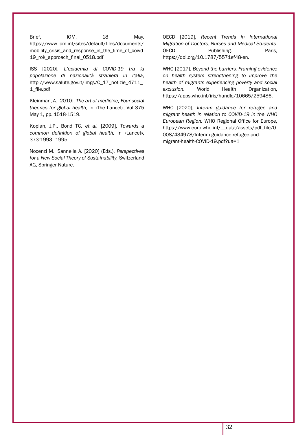Brief, IOM, 18 May. [https://www.iom.int/sites/default/files/documents/](about:blank) [mobility\\_crisis\\_and\\_response\\_in\\_the\\_time\\_of\\_coivd](about:blank) [19\\_rok\\_approach\\_final\\_0518.pdf](about:blank)

ISS [2020], *L'epidemia di COVID-19 tra la popolazione di nazionalità straniera in Italia*, [http://www.salute.gov.it/imgs/C\\_17\\_notizie\\_4711\\_](about:blank) [1\\_file.pdf](about:blank)

Kleinman, A. [2010], *The art of medicine. Four social theories for global health,* in «The Lancet», Vol 375 May 1, pp. 1518-1519.

Koplan, J.P., Bond TC. *et al.* [2009], *Towards a common definition of global health,* in «Lancet», 373:1993–1995.

Nocenzi M., Sannella A. [2020] (Eds.), *Perspectives for a New Social Theory of Sustainability,* Switzerland AG, Springer Nature.

OECD [2019], *Recent Trends in International Migration of Doctors, Nurses and Medical Students*. OECD Publishing. Paris, [https://doi.org/10.1787/5571ef48-en.](about:blank)

WHO [2017], *Beyond the barriers. Framing evidence on health system strengthening to improve the health of migrants experiencing poverty and social exclusion*. World Health Organization, https://apps.who.int/iris/handle/10665/259486.

WHO [2020], *Interim guidance for refugee and migrant health in relation to COVID-19 in the WHO European Region.* WHO Regional Office for Europe, [https://www.euro.who.int/\\_\\_data/assets/pdf\\_file/0](https://www.euro.who.int/__data/assets/pdf_file/0008/434978/Interim-guidance-refugee-and-migrant-health-COVID-19.pdf?ua=1) [008/434978/Interim-guidance-refugee-and](https://www.euro.who.int/__data/assets/pdf_file/0008/434978/Interim-guidance-refugee-and-migrant-health-COVID-19.pdf?ua=1)[migrant-health-COVID-19.pdf?ua=1](https://www.euro.who.int/__data/assets/pdf_file/0008/434978/Interim-guidance-refugee-and-migrant-health-COVID-19.pdf?ua=1)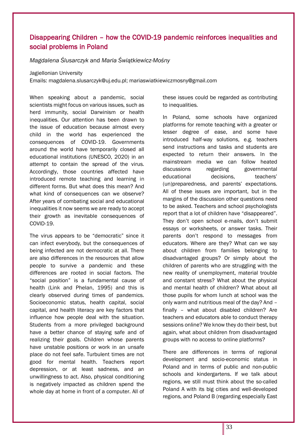# Disappearing Children – how the COVID-19 pandemic reinforces inequalities and social problems in Poland

*Magdalena Ślusarczyk* and *Maria Świątkiewicz-Mośny*

#### Jagiellonian University

Emails: [magdalena.slusarczyk@uj.edu.pl;](mailto:magdalena.slusarczyk@uj.edu.pl) mariaswiatkiewiczmosny@gmail.com

When speaking about a pandemic, social scientists might focus on various issues, such as herd immunity, social Darwinism or health inequalities. Our attention has been drawn to the issue of education because almost every child in the world has experienced the consequences of COVID-19. Governments around the world have temporarily closed all educational institutions (UNESCO, 2020) in an attempt to contain the spread of the virus. Accordingly, those countries affected have introduced remote teaching and learning in different forms. But what does this mean? And what kind of consequences can we observe? After years of combating social and educational inequalities it now seems we are ready to accept their growth as inevitable consequences of COVID-19.

The virus appears to be "democratic" since it can infect everybody, but the consequences of being infected are not democratic at all. There are also differences in the resources that allow people to survive a pandemic and these differences are rooted in social factors. The "social position" is a fundamental cause of health (Link and Phelan, 1995) and this is clearly observed during times of pandemics. Socioeconomic status, health capital, social capital, and health literacy are key factors that influence how people deal with the situation. Students from a more privileged background have a better chance of staying safe and of realizing their goals. Children whose parents have unstable positions or work in an unsafe place do not feel safe. Turbulent times are not good for mental health. Teachers report depression, or at least sadness, and an unwillingness to act. Also, physical conditioning is negatively impacted as children spend the whole day at home in front of a computer. All of these issues could be regarded as contributing to inequalities.

In Poland, some schools have organized platforms for remote teaching with a greater or lesser degree of ease, and some have introduced half-way solutions, e.g. teachers send instructions and tasks and students are expected to return their answers. In the mainstream media we can follow heated discussions regarding governmental educational decisions, teachers' (un)preparedness, and parents' expectations. All of these issues are important, but in the margins of the discussion other questions need to be asked. Teachers and school psychologists report that a lot of children have "disappeared". They don't open school e-mails, don't submit essays or worksheets, or answer tasks. Their parents don't respond to messages from educators. Where are they? What can we say about children from families belonging to disadvantaged groups? Or simply about the children of parents who are struggling with the new reality of unemployment, material trouble and constant stress? What about the physical and mental health of children? What about all those pupils for whom lunch at school was the only warm and nutritious meal of the day? And – finally – what about disabled children? Are teachers and educators able to conduct therapy sessions online? We know they do their best, but again, what about children from disadvantaged groups with no access to online platforms?

There are differences in terms of regional development and socio-economic status in Poland and in terms of public and non-public schools and kindergartens. If we talk about regions, we still must think about the so-called Poland A with its big cities and well-developed regions, and Poland B (regarding especially East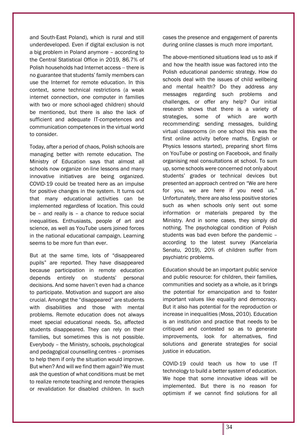and South-East Poland), which is rural and still underdeveloped. Even if digital exclusion is not a big problem in Poland anymore – according to the Central Statistical Office in 2019, 86.7% of Polish households had Internet access – there is no guarantee that students' family members can use the Internet for remote education. In this context, some technical restrictions (a weak internet connection, one computer in families with two or more school-aged children) should be mentioned, but there is also the lack of sufficient and adequate IT-competences and communication competences in the virtual world to consider.

Today, after a period of chaos, Polish schools are managing better with remote education. The Ministry of Education says that almost all schools now organize on-line lessons and many innovative initiatives are being organized. COVID-19 could be treated here as an impulse for positive changes in the system. It turns out that many educational activities can be implemented regardless of location. This could be – and really is – a chance to reduce social inequalities. Enthusiasts, people of art and science, as well as YouTube users joined forces in the national educational campaign. Learning seems to be more fun than ever.

But at the same time, lots of "disappeared pupils" are reported. They have disappeared because participation in remote education depends entirely on students' personal decisions. And some haven't even had a chance to participate. Motivation and support are also crucial. Amongst the "disappeared" are students with disabilities and those with mental problems. Remote education does not always meet special educational needs. So, affected students disappeared. They can rely on their families, but sometimes this is not possible. Everybody – the Ministry, schools, psychological and pedagogical counselling centres – promises to help them if only the situation would improve. But when? And will we find them again? We must ask the question of what conditions must be met to realize remote teaching and remote therapies or revalidation for disabled children. In such cases the presence and engagement of parents during online classes is much more important.

The above-mentioned situations lead us to ask if and how the health issue was factored into the Polish educational pandemic strategy. How do schools deal with the issues of child wellbeing and mental health? Do they address any messages regarding such problems and challenges, or offer any help? Our initial research shows that there is a variety of strategies, some of which are worth recommending: sending messages, building virtual classrooms (in one school this was the first online activity before maths, English or Physics lessons started), preparing short films on YouTube or posting on Facebook, and finally organising real consultations at school. To sum up, some schools were concerned not only about students' grades or technical devices but presented an approach centred on "We are here for you, we are here if you need us." Unfortunately, there are also less positive stories such as when schools only sent out some information or materials prepared by the Ministry. And in some cases, they simply did nothing. The psychological condition of Polish students was bad even before the pandemic – according to the latest survey (Kancelaria Senatu, 2019), 20% of children suffer from psychiatric problems.

Education should be an important public service and public resource: for children, their families, communities and society as a whole, as it brings the potential for emancipation and to foster important values like equality and democracy. But it also has potential for the reproduction or increase in inequalities (Moss, 2010). Education is an institution and practice that needs to be critiqued and contested so as to generate improvements, look for alternatives, find solutions and generate strategies for social justice in education.

COVID-19 could teach us how to use IT technology to build a better system of education. We hope that some innovative ideas will be implemented. But there is no reason for optimism if we cannot find solutions for all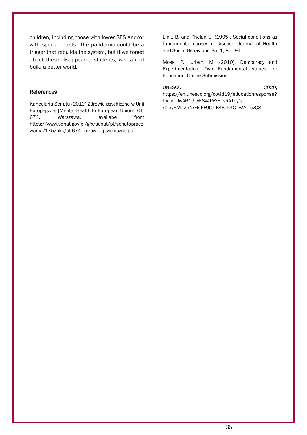children, including those with lower SES and/or with special needs. The pandemic could be a trigger that rebuilds the system, but if we forget about these disappeared students, we cannot build a better world.

#### References

Kancelaria Senatu (2019) Zdrowie psychiczne w Unii Europejskiej [Mental Health In European Union]. OT-674, Warszawa, availabe from [https://www.senat.gov.pl/gfx/senat/pl/senatopraco](https://www.senat.gov.pl/gfx/senat/pl/senatopracowania/175/plik/ot-674_zdrowie_psychiczne.pdf) [wania/175/plik/ot-674\\_zdrowie\\_psychiczne.pdf](https://www.senat.gov.pl/gfx/senat/pl/senatopracowania/175/plik/ot-674_zdrowie_psychiczne.pdf)

Link, B. and Phelan, J. (1995). Social conditions as fundamental causes of disease, Journal of Health and Social Behaviour, 35, 1, 80–94.

Moss, P., Urban, M. (2010). Democracy and Experimentation: Two Fundamental Values for Education. Online Submission.

#### UNESCO 2020,

https://en.unesco.org/covid19/educationresponse? fbclid=IwAR19\_yESvAPyYE\_sRATeyG r0eiy6Mu2hNrFk kF9Qx FSBzP3G-fyAY-\_cvQ8.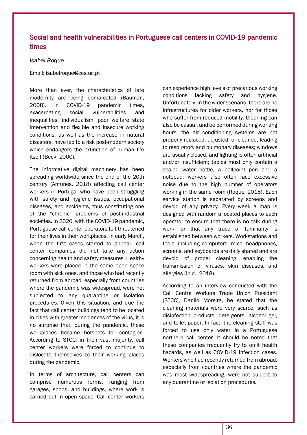# Social and health vulnerabilities in Portuguese call centers in COVID-19 pandemic times

#### *Isabel Roque*

Email: isabelroque@ces.uc.pt

More than ever, the characteristics of late modernity are being demarcated (Bauman, 2008). In COVID-19 pandemic times, exacerbating social vulnerabilities and inequalities, individualism, poor welfare state intervention and flexible and insecure working conditions, as well as the increase in natural disasters, have led to a risk post-modern society which endangers the extinction of human life itself (Beck, 2000).

The informative digital machinery has been spreading worldwide since the end of the 20th century (Antunes, 2018) affecting call center workers in Portugal who have been struggling with safety and hygiene issues, occupational diseases, and accidents, thus constituting one of the "chronic" problems of post-industrial societies. In 2020, with the COVID-19 pandemic, Portuguese call center operators felt threatened for their lives in their workplaces. In early March, when the first cases started to appear, call center companies did not take any action concerning health and safety measures. Healthy workers were placed in the same open space room with sick ones, and those who had recently returned from abroad, especially from countries where the pandemic was widespread, were not subjected to any quarantine or isolation procedures. Given this situation, and due the fact that call center buildings tend to be located in cities with greater incidences of the virus, it is no surprise that, during the pandemic, these workplaces became hotspots for contagion. According to STCC, in their vast majority, call center workers were forced to continue to dislocate themselves to their working places during the pandemic.

In terms of architecture, call centers can comprise numerous forms, ranging from garages, shops, and buildings, where work is carried out in open space. Call center workers can experience high levels of precarious working conditions lacking safety and hygiene. Unfortunately, in the wider scenario, there are no infrastructures for older workers, nor for those who suffer from reduced mobility. Cleaning can also be casual, and be performed during working hours; the air conditioning systems are not properly replaced, adjusted, or cleaned, leading to respiratory and pulmonary diseases; windows are usually closed, and lighting is often artificial and/or insufficient; tables must only contain a sealed water bottle, a ballpoint pen and a notepad; workers also often face excessive noise due to the high number of operators working in the same room (Roque, 2018). Each service station is separated by screens and devoid of any privacy. Every week a map is designed with random allocated places to each operator to ensure that there is no talk during work, or that any trace of familiarity is established between workers. Workstations and tools, including computers, mice, headphones, screens, and keyboards are daily shared and are devoid of proper cleaning, enabling the transmission of viruses, skin diseases, and allergies (Ibid., 2018).

According to an interview conducted with the Call Centre Workers Trade Union President (STCC), Danilo Moreira, he stated that the cleaning materials were very scarce, such as disinfection products, detergents, alcohol gel, and toilet paper. In fact, the cleaning staff was forced to use only water in a Portuguese northern call center. It should be noted that these companies frequently try to omit health hazards, as well as COVID-19 infection cases. Workers who had recently returned from abroad, especially from countries where the pandemic was most widespreading, were not subject to any quarantine or isolation procedures.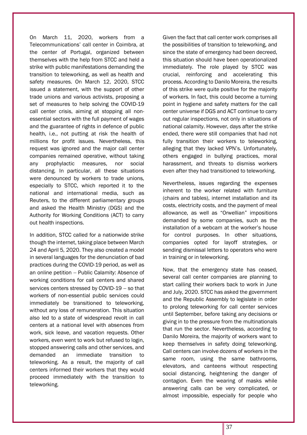On March 11, 2020, workers from a Telecommunications' call center in Coimbra, at the center of Portugal, organized between themselves with the help from STCC and held a strike with public manifestations demanding the transition to teleworking, as well as health and safety measures. On March 12, 2020, STCC issued a statement, with the support of other trade unions and various activists, proposing a set of measures to help solving the COVID-19 call center crisis, aiming at stopping all nonessential sectors with the full payment of wages and the guarantee of rights in defence of public health, i.e., not putting at risk the health of millions for profit issues. Nevertheless, this request was ignored and the major call center companies remained operative, without taking any prophylactic measures, nor social distancing. In particular, all these situations were denounced by workers to trade unions, especially to STCC, which reported it to the national and international media, such as Reuters, to the different parliamentary groups and asked the Health Ministry (DGS) and the Authority for Working Conditions (ACT) to carry out health inspections.

In addition, STCC called for a nationwide strike though the internet, taking place between March 24 and April 5, 2020. They also created a model in several languages for the denunciation of bad practices during the COVID-19 period, as well as an online petition − Public Calamity: Absence of working conditions for call centers and shared services centers stressed by COVID-19 − so that workers of non-essential public services could immediately be transitioned to teleworking, without any loss of remuneration. This situation also led to a state of widespread revolt in call centers at a national level with absences from work, sick leave, and vacation requests. Other workers, even went to work but refused to login, stopped answering calls and other services, and demanded an immediate transition to teleworking. As a result, the majority of call centers informed their workers that they would proceed immediately with the transition to teleworking.

Given the fact that call center work comprises all the possibilities of transition to teleworking, and since the state of emergency had been decreed, this situation should have been operationalized immediately. The role played by STCC was crucial, reinforcing and accelerating this process. According to Danilo Moreira, the results of this strike were quite positive for the majority of workers. In fact, this could become a turning point in hygiene and safety matters for the call center universe if DGS and ACT continue to carry out regular inspections, not only in situations of national calamity. However, days after the strike ended, there were still companies that had not fully transition their workers to teleworking, alleging that they lacked VPN's. Unfortunately, others engaged in bullying practices, moral harassment, and threats to dismiss workers even after they had transitioned to teleworking.

Nevertheless, issues regarding the expenses inherent to the worker related with furniture (chairs and tables), internet installation and its costs, electricity costs, and the payment of meal allowance, as well as "Orwellian" impositions demanded by some companies, such as the installation of a webcam at the worker's house for control purposes. In other situations, companies opted for layoff strategies, or sending dismissal letters to operators who were in training or in teleworking.

Now, that the emergency state has ceased, several call center companies are planning to start calling their workers back to work in June and July, 2020. STCC has asked the government and the Republic Assembly to legislate in order to prolong teleworking for call center services until September, before taking any decisions or giving in to the pressure from the multinationals that run the sector. Nevertheless, according to Danilo Moreira, the majority of workers want to keep themselves in safety doing teleworking. Call centers can involve dozens of workers in the same room, using the same bathrooms, elevators, and canteens without respecting social distancing, heightening the danger of contagion. Even the wearing of masks while answering calls can be very complicated, or almost impossible, especially for people who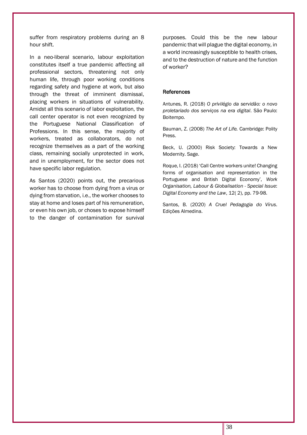suffer from respiratory problems during an 8 hour shift.

In a neo-liberal scenario, labour exploitation constitutes itself a true pandemic affecting all professional sectors, threatening not only human life, through poor working conditions regarding safety and hygiene at work, but also through the threat of imminent dismissal, placing workers in situations of vulnerability. Amidst all this scenario of labor exploitation, the call center operator is not even recognized by the Portuguese National Classification of Professions. In this sense, the majority of workers, treated as collaborators, do not recognize themselves as a part of the working class, remaining socially unprotected in work, and in unemployment, for the sector does not have specific labor regulation.

As Santos (2020) points out, the precarious worker has to choose from dying from a virus or dying from starvation, i.e., the worker chooses to stay at home and loses part of his remuneration, or even his own job, or choses to expose himself to the danger of contamination for survival purposes. Could this be the new labour pandemic that will plague the digital economy, in a world increasingly susceptible to health crises, and to the destruction of nature and the function of worker?

#### References

Antunes, R. (2018) *O privilégio da servidão: o novo proletariado dos serviços na era digital*. São Paulo: Boitempo.

Bauman, Z. (2008) *The Art of Life.* Cambridge: Polity Press.

Beck, U. (2000) Risk Society: Towards a New Modernity. Sage.

Roque, I. (2018) 'Call Centre workers unite! Changing forms of organisation and representation in the Portuguese and British Digital Economy', *Work Organisation, Labour & Globalisation - Special Issue*: *Digital Economy and the Law*, 12( 2), pp. 79-98.

Santos, B. (2020) *A Cruel Pedagogia do Vírus*. Edições Almedina.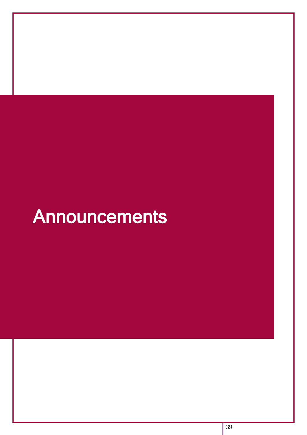# Announcements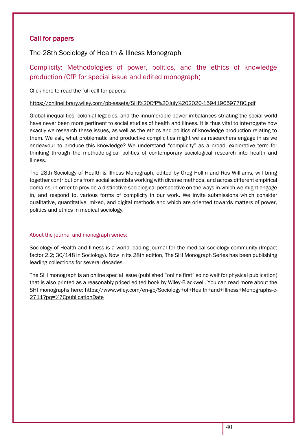# Call for papers

The 28th Sociology of Health & Illness Monograph

# Complicity: Methodologies of power, politics, and the ethics of knowledge production (CfP for special issue and edited monograph)

Click here to read the full call for papers:

# <https://onlinelibrary.wiley.com/pb-assets/SHI%20CfP%20July%202020-1594196597780.pdf>

Global inequalities, colonial legacies, and the innumerable power imbalances striating the social world have never been more pertinent to social studies of health and illness. It is thus vital to interrogate how exactly we research these issues, as well as the ethics and politics of knowledge production relating to them. We ask, what problematic and productive complicities might we as researchers engage in as we endeavour to produce this knowledge? We understand "complicity" as a broad, explorative term for thinking through the methodological politics of contemporary sociological research into health and illness.

The 28th Sociology of Health & Illness Monograph, edited by Greg Hollin and Ros Williams, will bring together contributions from social scientists working with diverse methods, and across different empirical domains, in order to provide a distinctive sociological perspective on the ways in which we might engage in, and respond to, various forms of complicity in our work. We invite submissions which consider qualitative, quantitative, mixed, and digital methods and which are oriented towards matters of power, politics and ethics in medical sociology.

# About the journal and monograph series:

Sociology of Health and Illness is a world leading journal for the medical sociology community (Impact factor 2.2; 30/148 in Sociology). Now in its 28th edition, The SHI Monograph Series has been publishing leading collections for several decades.

The SHI monograph is an online special issue (published "online first" so no wait for physical publication) that is also printed as a reasonably priced edited book by Wiley-Blackwell. You can read more about the SHI monographs here: [https://www.wiley.com/en-gb/Sociology+of+Health+and+Illness+Monographs-c-](https://www.wiley.com/en-gb/Sociology+of+Health+and+Illness+Monographs-c-2711?pq=%7CpublicationDate)[2711?pq=%7CpublicationDate](https://www.wiley.com/en-gb/Sociology+of+Health+and+Illness+Monographs-c-2711?pq=%7CpublicationDate)